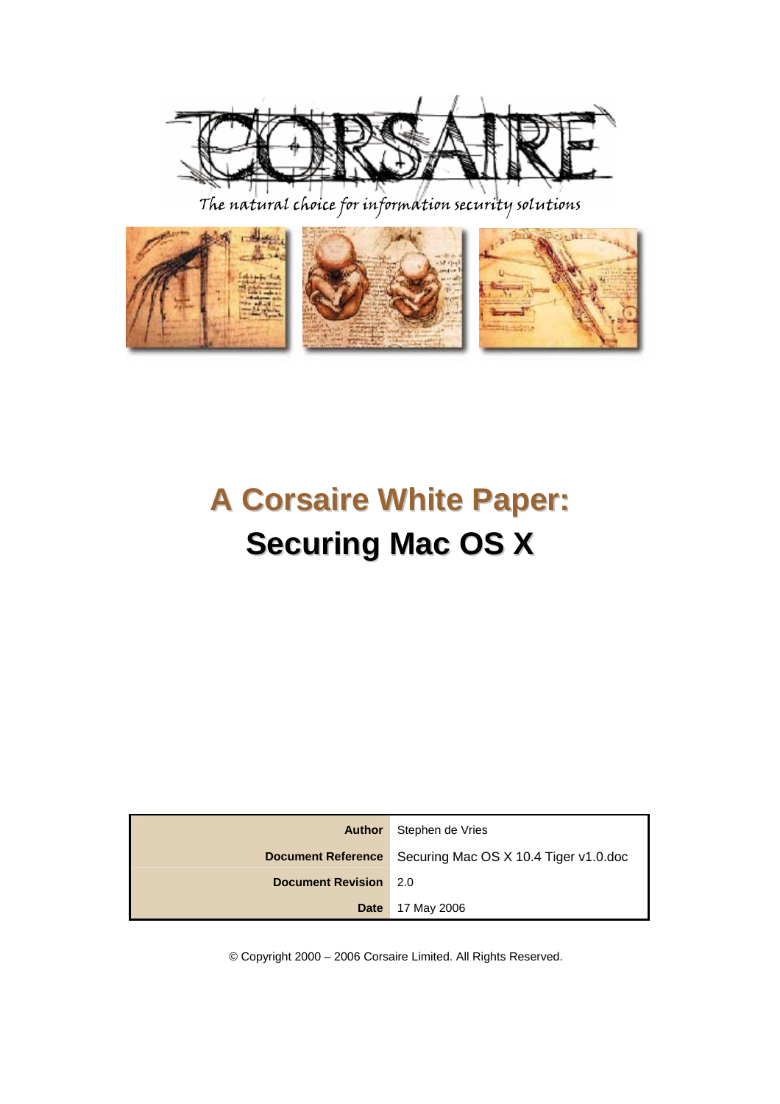

The natural choice for information security solutions



# **A Corsaire White Paper: Securing Mac OS X**

| Author                    | Stephen de Vries                      |
|---------------------------|---------------------------------------|
| <b>Document Reference</b> | Securing Mac OS X 10.4 Tiger v1.0.doc |
| <b>Document Revision</b>  | -2.0                                  |
| <b>Date</b>               | 17 May 2006                           |

© Copyright 2000 – 2006 Corsaire Limited. All Rights Reserved.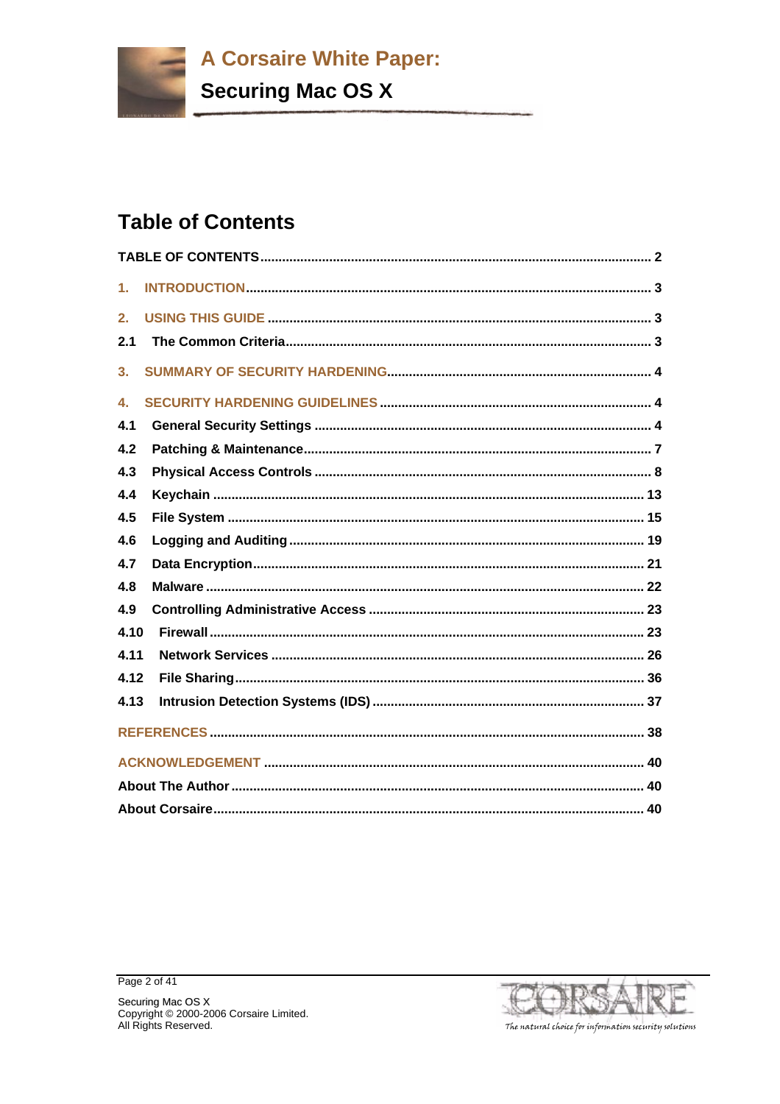**Securing Mac OS X** 

# **Table of Contents**

| $\mathbf 1$ . |  |
|---------------|--|
| 2.            |  |
| 2.1           |  |
| 3.            |  |
| 4.            |  |
| 4.1           |  |
| 4.2           |  |
| 4.3           |  |
| 4.4           |  |
| 4.5           |  |
| 4.6           |  |
| 4.7           |  |
| 4.8           |  |
| 4.9           |  |
| 4.10          |  |
| 4.11          |  |
| 4.12          |  |
| 4.13          |  |
|               |  |
|               |  |
|               |  |
|               |  |



Page 2 of 41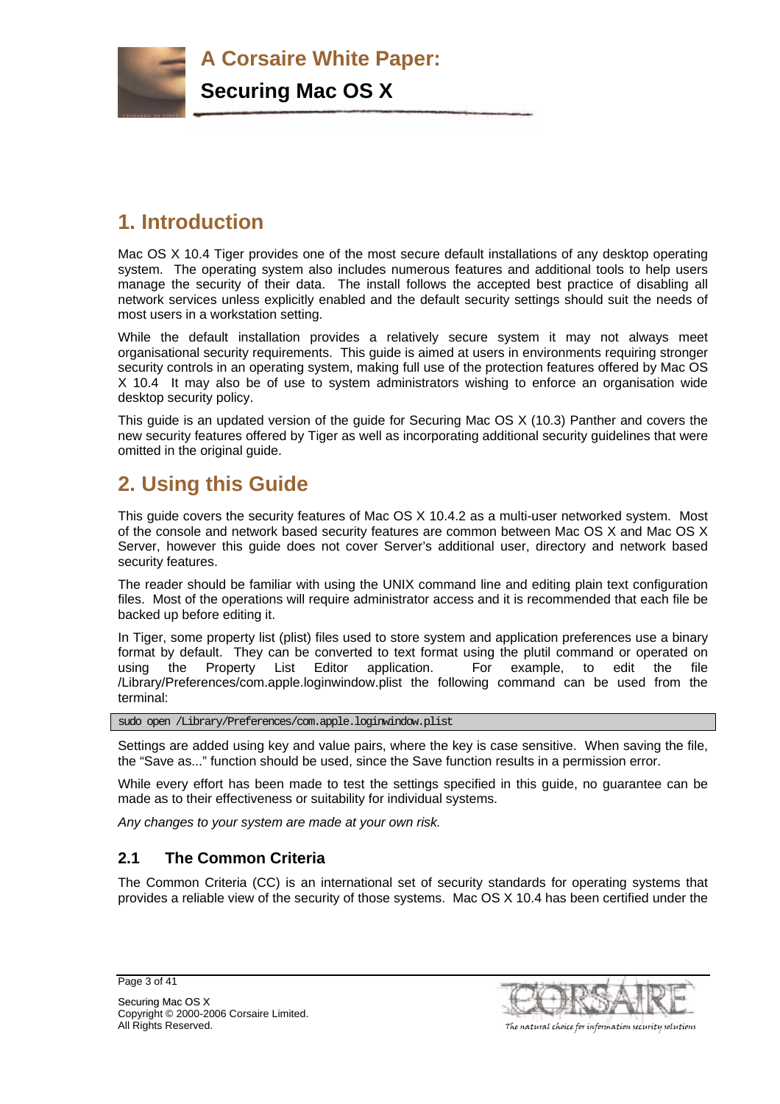

**Securing Mac OS X**

# **1. Introduction**

Mac OS X 10.4 Tiger provides one of the most secure default installations of any desktop operating system. The operating system also includes numerous features and additional tools to help users manage the security of their data. The install follows the accepted best practice of disabling all network services unless explicitly enabled and the default security settings should suit the needs of most users in a workstation setting.

While the default installation provides a relatively secure system it may not always meet organisational security requirements. This guide is aimed at users in environments requiring stronger security controls in an operating system, making full use of the protection features offered by Mac OS X 10.4 It may also be of use to system administrators wishing to enforce an organisation wide desktop security policy.

This guide is an updated version of the guide for Securing Mac OS X (10.3) Panther and covers the new security features offered by Tiger as well as incorporating additional security guidelines that were omitted in the original guide.

# **2. Using this Guide**

This guide covers the security features of Mac OS X 10.4.2 as a multi-user networked system. Most of the console and network based security features are common between Mac OS X and Mac OS X Server, however this guide does not cover Server's additional user, directory and network based security features.

The reader should be familiar with using the UNIX command line and editing plain text configuration files. Most of the operations will require administrator access and it is recommended that each file be backed up before editing it.

In Tiger, some property list (plist) files used to store system and application preferences use a binary format by default. They can be converted to text format using the plutil command or operated on using the Property List Editor application. For example, to edit the file /Library/Preferences/com.apple.loginwindow.plist the following command can be used from the terminal:

sudo open /Library/Preferences/com.apple.loginwindow.plist

Settings are added using key and value pairs, where the key is case sensitive. When saving the file, the "Save as..." function should be used, since the Save function results in a permission error.

While every effort has been made to test the settings specified in this guide, no guarantee can be made as to their effectiveness or suitability for individual systems.

*Any changes to your system are made at your own risk.* 

# **2.1 The Common Criteria**

The Common Criteria (CC) is an international set of security standards for operating systems that provides a reliable view of the security of those systems. Mac OS X 10.4 has been certified under the

Page 3 of 41



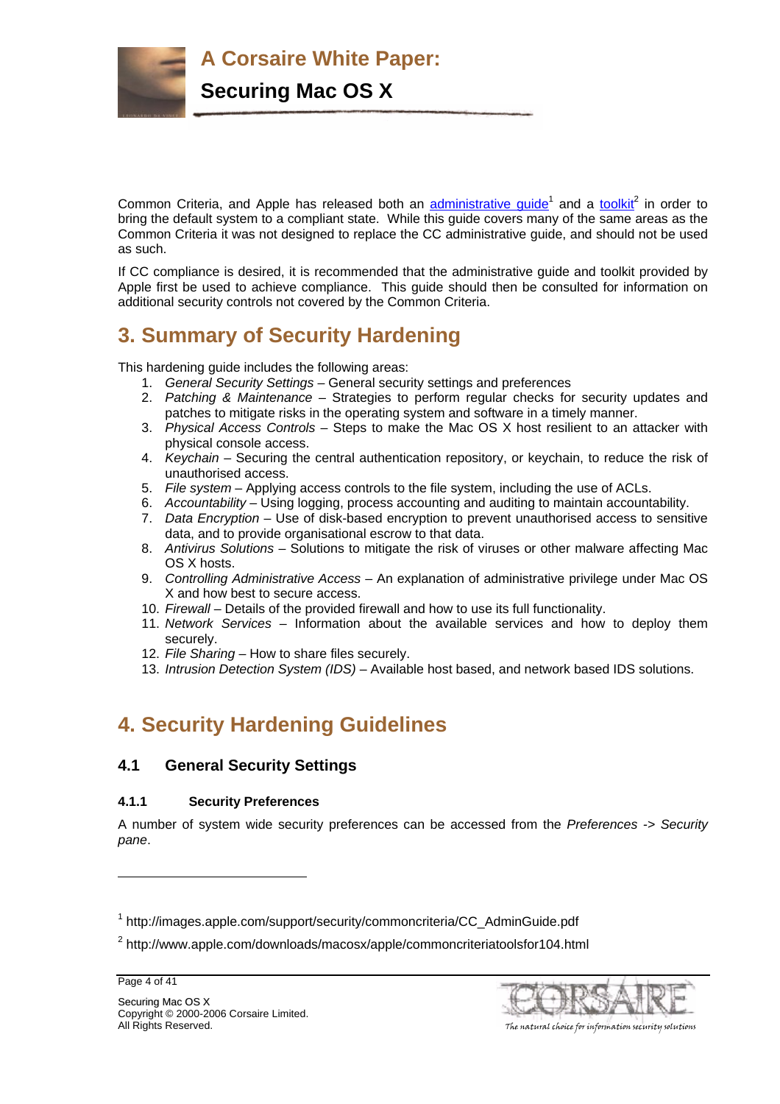

Common Criteria, and Apple has released both an **administrative guide**<sup>1</sup> and a toolkit<sup>2</sup> in order to bring the default system to a compliant state. While this guide covers many of the same areas as the Common Criteria it was not designed to replace the CC administrative guide, and should not be used as such.

If CC compliance is desired, it is recommended that the administrative guide and toolkit provided by Apple first be used to achieve compliance. This guide should then be consulted for information on additional security controls not covered by the Common Criteria.

# **3. Summary of Security Hardening**

This hardening guide includes the following areas:

- 1. *General Security Settings* General security settings and preferences
- 2. *Patching & Maintenance* Strategies to perform regular checks for security updates and patches to mitigate risks in the operating system and software in a timely manner.
- 3. *Physical Access Controls* Steps to make the Mac OS X host resilient to an attacker with physical console access.
- 4. *Keychain* Securing the central authentication repository, or keychain, to reduce the risk of unauthorised access.
- 5. *File system*  Applying access controls to the file system, including the use of ACLs.
- 6. *Accountability* Using logging, process accounting and auditing to maintain accountability.
- 7. *Data Encryption* Use of disk-based encryption to prevent unauthorised access to sensitive data, and to provide organisational escrow to that data.
- 8. *Antivirus Solutions* Solutions to mitigate the risk of viruses or other malware affecting Mac OS X hosts.
- 9. *Controlling Administrative Access* An explanation of administrative privilege under Mac OS X and how best to secure access.
- 10. *Firewall* Details of the provided firewall and how to use its full functionality.
- 11. *Network Services* Information about the available services and how to deploy them securely.
- 12. *File Sharing* How to share files securely.
- 13. *Intrusion Detection System (IDS)* Available host based, and network based IDS solutions.

# **4. Security Hardening Guidelines**

# **4.1 General Security Settings**

# **4.1.1 Security Preferences**

A number of system wide security preferences can be accessed from the *Preferences -> Security pane*.

l



<sup>&</sup>lt;sup>1</sup> http://images.apple.com/support/security/commoncriteria/CC\_AdminGuide.pdf

<sup>&</sup>lt;sup>2</sup> http://www.apple.com/downloads/macosx/apple/commoncriteriatoolsfor104.html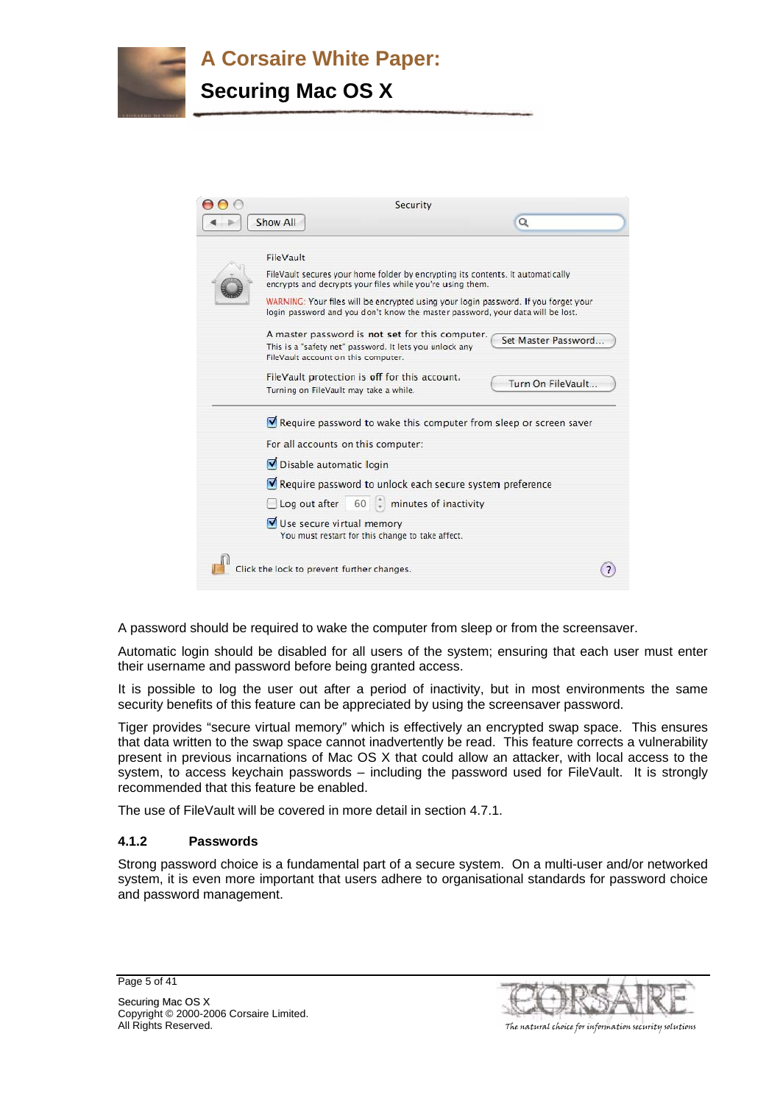

| Security                                                                                                                                                                                                                                                                                                                           |                     |
|------------------------------------------------------------------------------------------------------------------------------------------------------------------------------------------------------------------------------------------------------------------------------------------------------------------------------------|---------------------|
| Show All                                                                                                                                                                                                                                                                                                                           | $\alpha$            |
| FileVault<br>FileVault secures your home folder by encrypting its contents. It automatically<br>encrypts and decrypts your files while you're using them.<br>WARNING: Your files will be encrypted using your login password. If you forget your<br>login password and you don't know the master password, your data will be lost. |                     |
| A master password is not set for this computer.<br>This is a "safety net" password. It lets you unlock any<br>FileVault account on this computer.                                                                                                                                                                                  | Set Master Password |
| FileVault protection is off for this account.<br>Turning on FileVault may take a while.                                                                                                                                                                                                                                            | Turn On FileVault   |
| Require password to wake this computer from sleep or screen saver                                                                                                                                                                                                                                                                  |                     |
| For all accounts on this computer:                                                                                                                                                                                                                                                                                                 |                     |
| Disable automatic login                                                                                                                                                                                                                                                                                                            |                     |
| Require password to unlock each secure system preference                                                                                                                                                                                                                                                                           |                     |
| Log out after 60 minutes of inactivity                                                                                                                                                                                                                                                                                             |                     |
| Use secure virtual memory<br>You must restart for this change to take affect.                                                                                                                                                                                                                                                      |                     |
| Click the lock to prevent further changes.                                                                                                                                                                                                                                                                                         |                     |
|                                                                                                                                                                                                                                                                                                                                    |                     |

A password should be required to wake the computer from sleep or from the screensaver.

Automatic login should be disabled for all users of the system; ensuring that each user must enter their username and password before being granted access.

It is possible to log the user out after a period of inactivity, but in most environments the same security benefits of this feature can be appreciated by using the screensaver password.

Tiger provides "secure virtual memory" which is effectively an encrypted swap space. This ensures that data written to the swap space cannot inadvertently be read. This feature corrects a vulnerability present in previous incarnations of Mac OS X that could allow an attacker, with local access to the system, to access keychain passwords – including the password used for FileVault. It is strongly recommended that this feature be enabled.

The use of FileVault will be covered in more detail in section 4.7.1.

#### **4.1.2 Passwords**

Strong password choice is a fundamental part of a secure system. On a multi-user and/or networked system, it is even more important that users adhere to organisational standards for password choice and password management.

Page 5 of 41



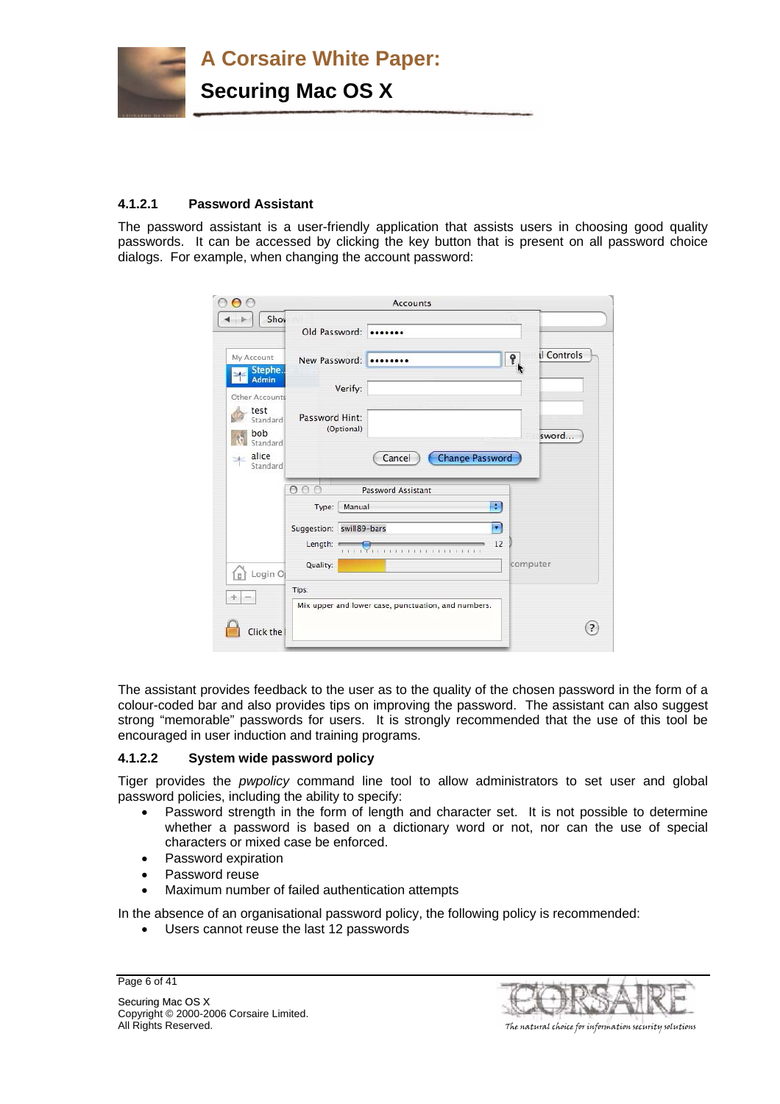

# **4.1.2.1 Password Assistant**

The password assistant is a user-friendly application that assists users in choosing good quality passwords. It can be accessed by clicking the key button that is present on all password choice dialogs. For example, when changing the account password:

| $\bigcap$                                                |                                                 | <b>Accounts</b>                                     |                                        |
|----------------------------------------------------------|-------------------------------------------------|-----------------------------------------------------|----------------------------------------|
| Shov<br>$\rightarrow$                                    | Old Password:                                   |                                                     |                                        |
| My Account<br>Stephe.                                    | New Password:                                   |                                                     | <b>Il Controls</b><br>9.               |
| <b>Admin</b><br>Other Accounts                           | Verify:                                         |                                                     |                                        |
| test<br>Standard<br>bob<br>Standard<br>alice<br>Standard | Password Hint:<br>(Optional)                    | Cancel                                              | sword<br><b>Change Password</b>        |
|                                                          | 00C<br>Type:                                    | Password Assistant<br>Manual                        | ÷                                      |
|                                                          | Suggestion: swill89-bars<br>Length:<br>Quality: | a a Yana a casa a san san                           | $\blacktriangledown$<br>12<br>computer |
| Login O<br>$_{\rm H}$<br>÷                               | Tips:                                           |                                                     |                                        |
| Click the                                                |                                                 | Mix upper and lower case, punctuation, and numbers. | $\overline{z}$                         |

The assistant provides feedback to the user as to the quality of the chosen password in the form of a colour-coded bar and also provides tips on improving the password. The assistant can also suggest strong "memorable" passwords for users. It is strongly recommended that the use of this tool be encouraged in user induction and training programs.

# **4.1.2.2 System wide password policy**

Tiger provides the *pwpolicy* command line tool to allow administrators to set user and global password policies, including the ability to specify:

- Password strength in the form of length and character set. It is not possible to determine whether a password is based on a dictionary word or not, nor can the use of special characters or mixed case be enforced.
- Password expiration
- Password reuse
- Maximum number of failed authentication attempts

In the absence of an organisational password policy, the following policy is recommended:

• Users cannot reuse the last 12 passwords

Page 6 of 41



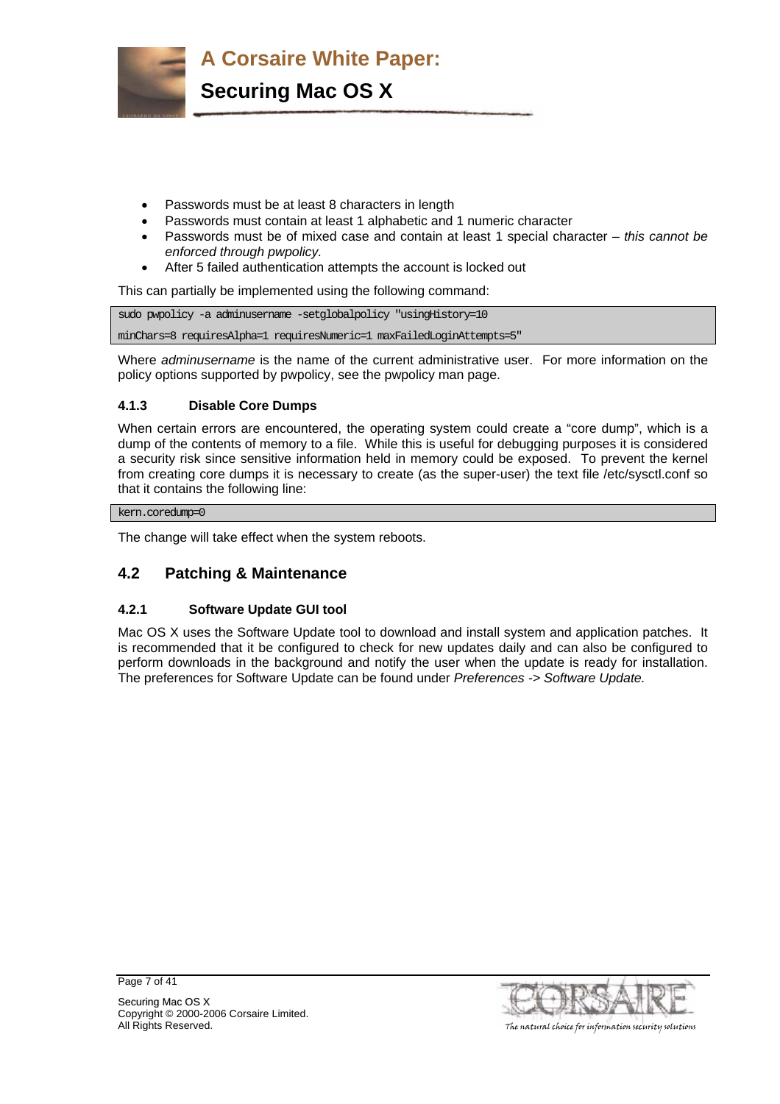

- Passwords must be at least 8 characters in length
- Passwords must contain at least 1 alphabetic and 1 numeric character
- Passwords must be of mixed case and contain at least 1 special character *this cannot be enforced through pwpolicy.*
- After 5 failed authentication attempts the account is locked out

This can partially be implemented using the following command:

sudo pwpolicy -a adminusername -setglobalpolicy "usingHistory=10 minChars=8 requiresAlpha=1 requiresNumeric=1 maxFailedLoginAttempts=5"

Where *adminusername* is the name of the current administrative user. For more information on the policy options supported by pwpolicy, see the pwpolicy man page.

# **4.1.3 Disable Core Dumps**

When certain errors are encountered, the operating system could create a "core dump", which is a dump of the contents of memory to a file. While this is useful for debugging purposes it is considered a security risk since sensitive information held in memory could be exposed. To prevent the kernel from creating core dumps it is necessary to create (as the super-user) the text file /etc/sysctl.conf so that it contains the following line:

kern.coredump=0

The change will take effect when the system reboots.

# **4.2 Patching & Maintenance**

# **4.2.1 Software Update GUI tool**

Mac OS X uses the Software Update tool to download and install system and application patches. It is recommended that it be configured to check for new updates daily and can also be configured to perform downloads in the background and notify the user when the update is ready for installation. The preferences for Software Update can be found under *Preferences -> Software Update.*

Page 7 of 41

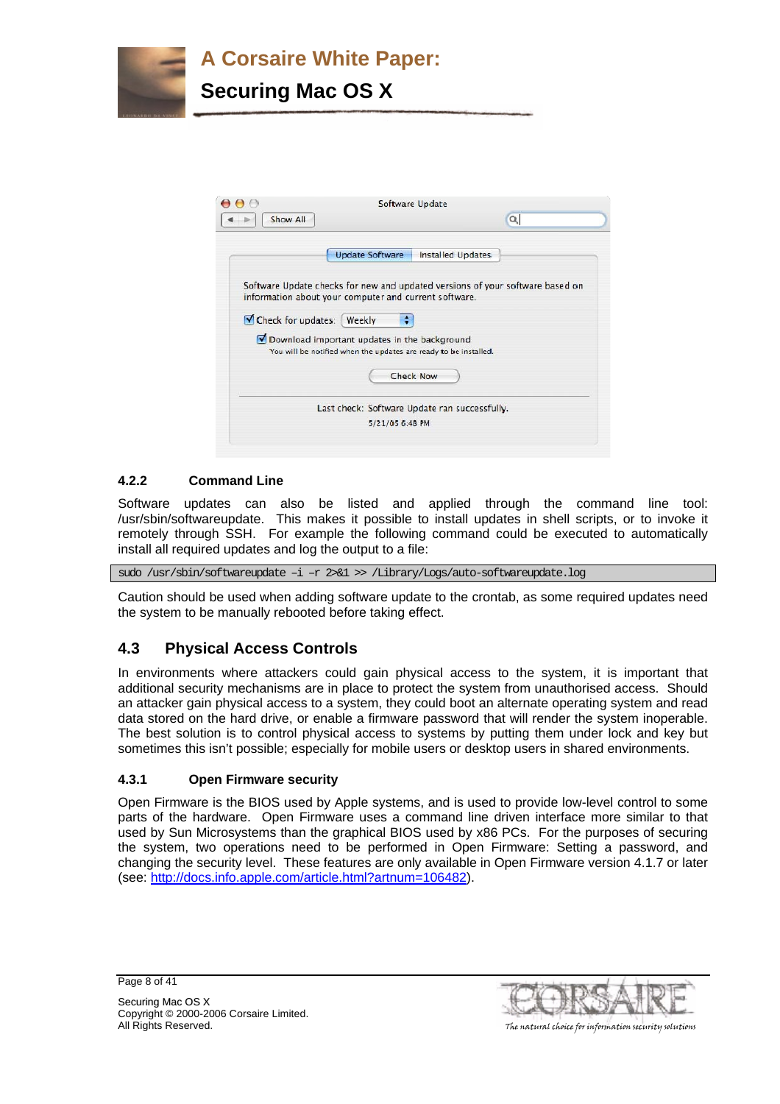



# **4.2.2 Command Line**

Software updates can also be listed and applied through the command line tool: /usr/sbin/softwareupdate. This makes it possible to install updates in shell scripts, or to invoke it remotely through SSH. For example the following command could be executed to automatically install all required updates and log the output to a file:

sudo /usr/sbin/softwareupdate –i –r 2>&1 >> /Library/Logs/auto-softwareupdate.log

Caution should be used when adding software update to the crontab, as some required updates need the system to be manually rebooted before taking effect.

# **4.3 Physical Access Controls**

In environments where attackers could gain physical access to the system, it is important that additional security mechanisms are in place to protect the system from unauthorised access. Should an attacker gain physical access to a system, they could boot an alternate operating system and read data stored on the hard drive, or enable a firmware password that will render the system inoperable. The best solution is to control physical access to systems by putting them under lock and key but sometimes this isn't possible; especially for mobile users or desktop users in shared environments.

# **4.3.1 Open Firmware security**

Open Firmware is the BIOS used by Apple systems, and is used to provide low-level control to some parts of the hardware. Open Firmware uses a command line driven interface more similar to that used by Sun Microsystems than the graphical BIOS used by x86 PCs. For the purposes of securing the system, two operations need to be performed in Open Firmware: Setting a password, and changing the security level. These features are only available in Open Firmware version 4.1.7 or later (see: http://docs.info.apple.com/article.html?artnum=106482).

Page 8 of 41

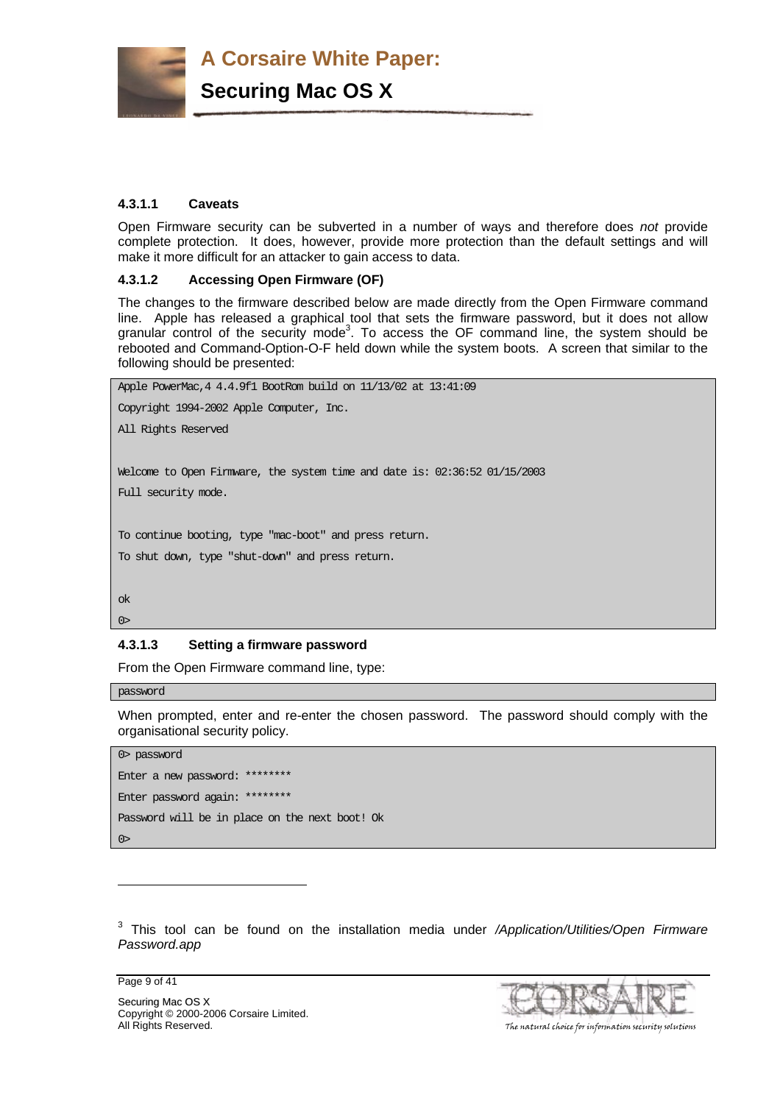

**Securing Mac OS X**

# **4.3.1.1 Caveats**

Open Firmware security can be subverted in a number of ways and therefore does *not* provide complete protection. It does, however, provide more protection than the default settings and will make it more difficult for an attacker to gain access to data.

# **4.3.1.2 Accessing Open Firmware (OF)**

The changes to the firmware described below are made directly from the Open Firmware command line. Apple has released a graphical tool that sets the firmware password, but it does not allow granular control of the security mode<sup>3</sup>. To access the OF command line, the system should be rebooted and Command-Option-O-F held down while the system boots. A screen that similar to the following should be presented:

```
Apple PowerMac,4 4.4.9f1 BootRom build on 11/13/02 at 13:41:09 
Copyright 1994-2002 Apple Computer, Inc. 
All Rights Reserved 
Welcome to Open Firmware, the system time and date is: 02:36:52 01/15/2003 
Full security mode.
To continue booting, type "mac-boot" and press return. 
To shut down, type "shut-down" and press return. 
ok 
0>
```
# **4.3.1.3 Setting a firmware password**

From the Open Firmware command line, type:

#### password

When prompted, enter and re-enter the chosen password. The password should comply with the organisational security policy.

```
0> password 
Enter a new password: ******** 
Enter password again: ******** 
Password will be in place on the next boot! Ok 
0>
```
3 This tool can be found on the installation media under */Application/Utilities/Open Firmware Password.app*

Page 9 of 41

l

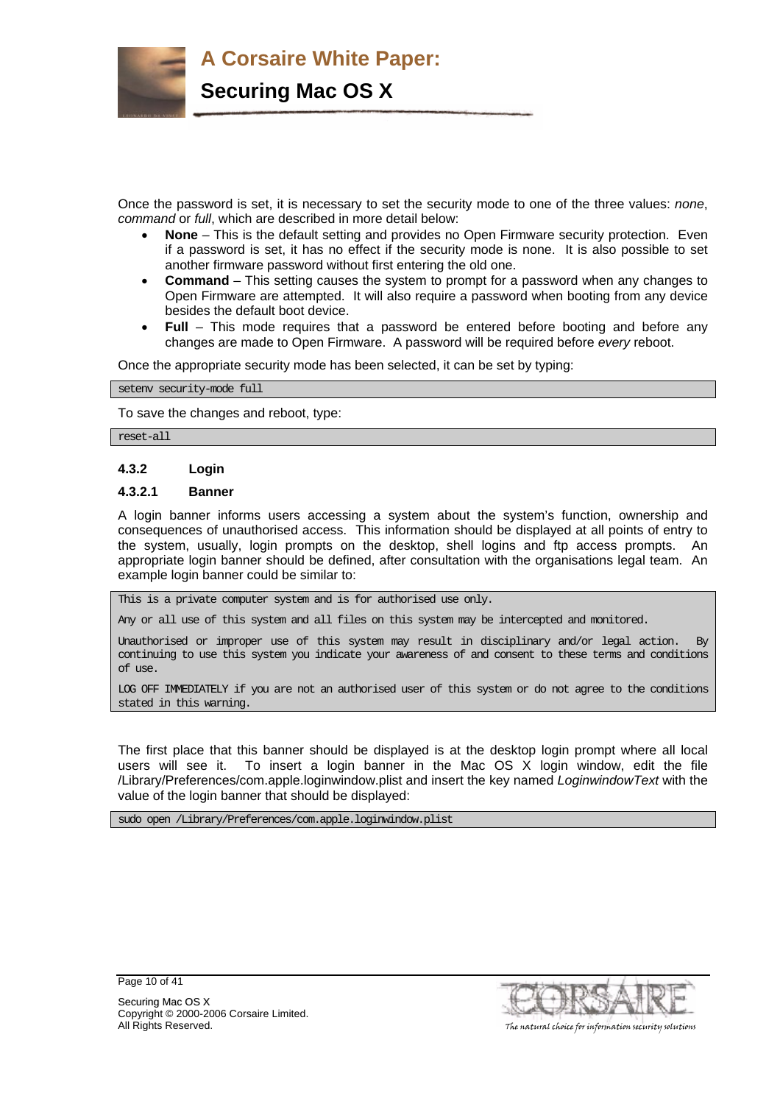

**Securing Mac OS X**

Once the password is set, it is necessary to set the security mode to one of the three values: *none*, *command* or *full*, which are described in more detail below:

- **None** This is the default setting and provides no Open Firmware security protection. Even if a password is set, it has no effect if the security mode is none. It is also possible to set another firmware password without first entering the old one.
- **Command** This setting causes the system to prompt for a password when any changes to Open Firmware are attempted. It will also require a password when booting from any device besides the default boot device.
- **Full** This mode requires that a password be entered before booting and before any changes are made to Open Firmware. A password will be required before *every* reboot.

Once the appropriate security mode has been selected, it can be set by typing:

setenv security-mode full

To save the changes and reboot, type:

reset-all

#### **4.3.2 Login**

#### **4.3.2.1 Banner**

A login banner informs users accessing a system about the system's function, ownership and consequences of unauthorised access. This information should be displayed at all points of entry to the system, usually, login prompts on the desktop, shell logins and ftp access prompts. An appropriate login banner should be defined, after consultation with the organisations legal team. An example login banner could be similar to:

This is a private computer system and is for authorised use only.

Any or all use of this system and all files on this system may be intercepted and monitored.

Unauthorised or improper use of this system may result in disciplinary and/or legal action. By continuing to use this system you indicate your awareness of and consent to these terms and conditions of use.

LOG OFF IMMEDIATELY if you are not an authorised user of this system or do not agree to the conditions stated in this warning.

The first place that this banner should be displayed is at the desktop login prompt where all local users will see it. To insert a login banner in the Mac OS X login window, edit the file /Library/Preferences/com.apple.loginwindow.plist and insert the key named *LoginwindowText* with the value of the login banner that should be displayed:

sudo open /Library/Preferences/com.apple.loginwindow.plist



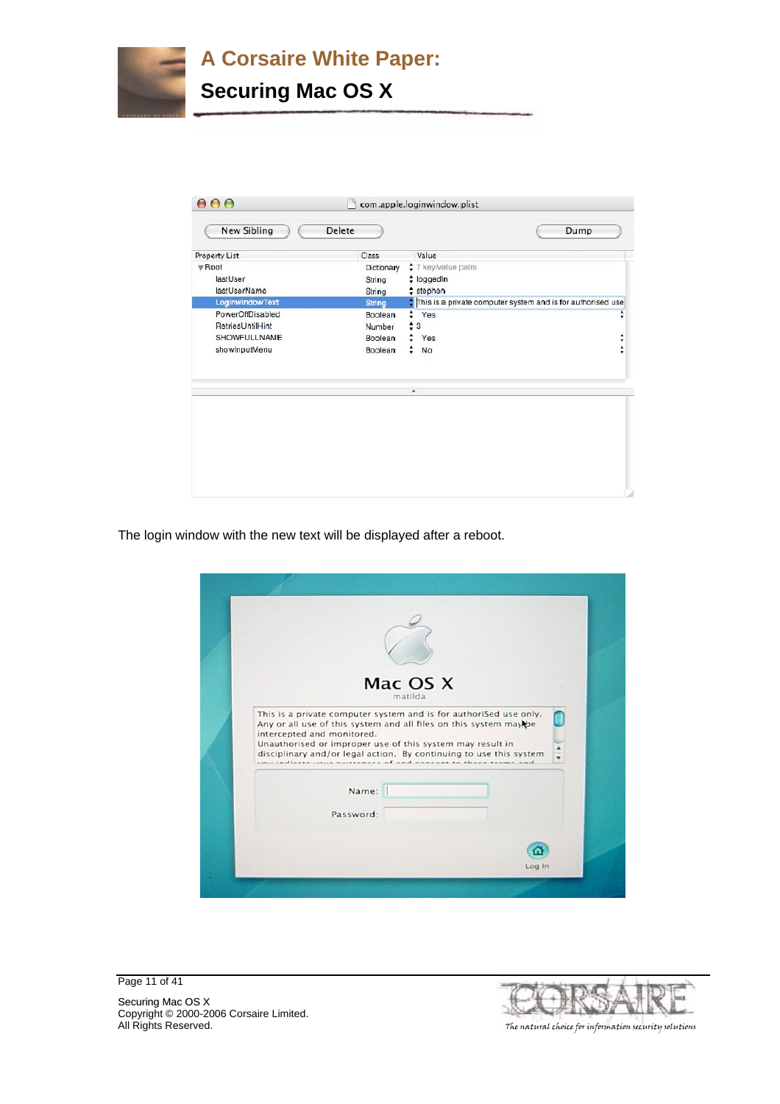# **A Corsaire White Paper: Securing Mac OS X**

| <b>New Sibling</b>   | <b>Delete</b> |                                                                  | Dump             |
|----------------------|---------------|------------------------------------------------------------------|------------------|
| <b>Property List</b> | Class         | Value                                                            |                  |
| <b>WRoot</b>         | Dictionary    | * 7 key/value pairs                                              |                  |
| lastUser             | String        | $\div$ loggedin                                                  |                  |
| lastUserName         | String        | $stephen$                                                        |                  |
| LoginwindowText      | <b>String</b> | ٥<br>This is a private computer system and is for authorised use |                  |
| PowerOffDisabled     | Boolean       | ÷<br>Yes                                                         | A<br>۰           |
| RetriesUntilHint     | Number        | ٠<br>3                                                           |                  |
| <b>SHOWFULLNAME</b>  | Boolean       | Yes                                                              | ٠<br>÷           |
| showInputMenu        | Boolean       | ٠<br>No                                                          | $\blacktriangle$ |
|                      |               |                                                                  |                  |
|                      |               | $\blacktriangle$                                                 |                  |
|                      |               |                                                                  |                  |
|                      |               |                                                                  |                  |
|                      |               |                                                                  |                  |
|                      |               |                                                                  |                  |
|                      |               |                                                                  |                  |
|                      |               |                                                                  |                  |
|                      |               |                                                                  |                  |
|                      |               |                                                                  |                  |

The login window with the new text will be displayed after a reboot.

| Mac OS X<br>matilda                                                                                                                                                                                                                                                                                                                                           |
|---------------------------------------------------------------------------------------------------------------------------------------------------------------------------------------------------------------------------------------------------------------------------------------------------------------------------------------------------------------|
| This is a private computer system and is for authoriSed use only.<br>Any or all use of this system and all files on this system may be<br>intercepted and monitored.<br>Unauthorised or improper use of this system may result in<br>disciplinary and/or legal action. By continuing to use this system<br>inux quincenose of and conceast to those torms and |
| Name:<br>Password:                                                                                                                                                                                                                                                                                                                                            |
| Log In                                                                                                                                                                                                                                                                                                                                                        |

16

Page 11 of 41

Securing Mac OS X Copyright © 2000-2006 Corsaire Limited. All Rights Reserved. The natural choice for information security solutions and the natural choice for information security solutions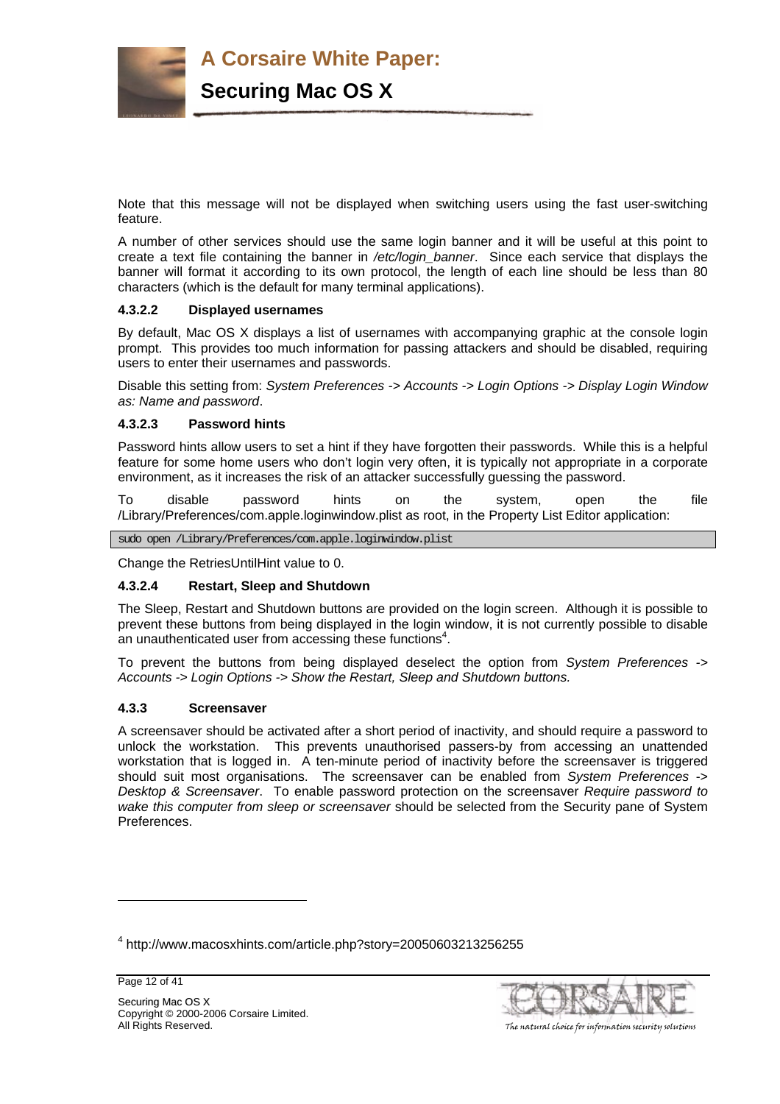

Note that this message will not be displayed when switching users using the fast user-switching feature.

A number of other services should use the same login banner and it will be useful at this point to create a text file containing the banner in */etc/login\_banner*. Since each service that displays the banner will format it according to its own protocol, the length of each line should be less than 80 characters (which is the default for many terminal applications).

#### **4.3.2.2 Displayed usernames**

By default, Mac OS X displays a list of usernames with accompanying graphic at the console login prompt. This provides too much information for passing attackers and should be disabled, requiring users to enter their usernames and passwords.

Disable this setting from: *System Preferences -> Accounts -> Login Options -> Display Login Window as: Name and password*.

### **4.3.2.3 Password hints**

Password hints allow users to set a hint if they have forgotten their passwords. While this is a helpful feature for some home users who don't login very often, it is typically not appropriate in a corporate environment, as it increases the risk of an attacker successfully guessing the password.

To disable password hints on the system, open the file /Library/Preferences/com.apple.loginwindow.plist as root, in the Property List Editor application:

sudo open /Library/Preferences/com.apple.loginwindow.plist

Change the RetriesUntilHint value to 0.

#### **4.3.2.4 Restart, Sleep and Shutdown**

The Sleep, Restart and Shutdown buttons are provided on the login screen. Although it is possible to prevent these buttons from being displayed in the login window, it is not currently possible to disable an unauthenticated user from accessing these functions<sup>4</sup>.

To prevent the buttons from being displayed deselect the option from *System Preferences -> Accounts -> Login Options -> Show the Restart, Sleep and Shutdown buttons.*

#### **4.3.3 Screensaver**

A screensaver should be activated after a short period of inactivity, and should require a password to unlock the workstation. This prevents unauthorised passers-by from accessing an unattended workstation that is logged in. A ten-minute period of inactivity before the screensaver is triggered should suit most organisations. The screensaver can be enabled from *System Preferences* -> *Desktop & Screensaver*. To enable password protection on the screensaver *Require password to wake this computer from sleep or screensaver* should be selected from the Security pane of System Preferences.

l



<sup>&</sup>lt;sup>4</sup> http://www.macosxhints.com/article.php?story=20050603213256255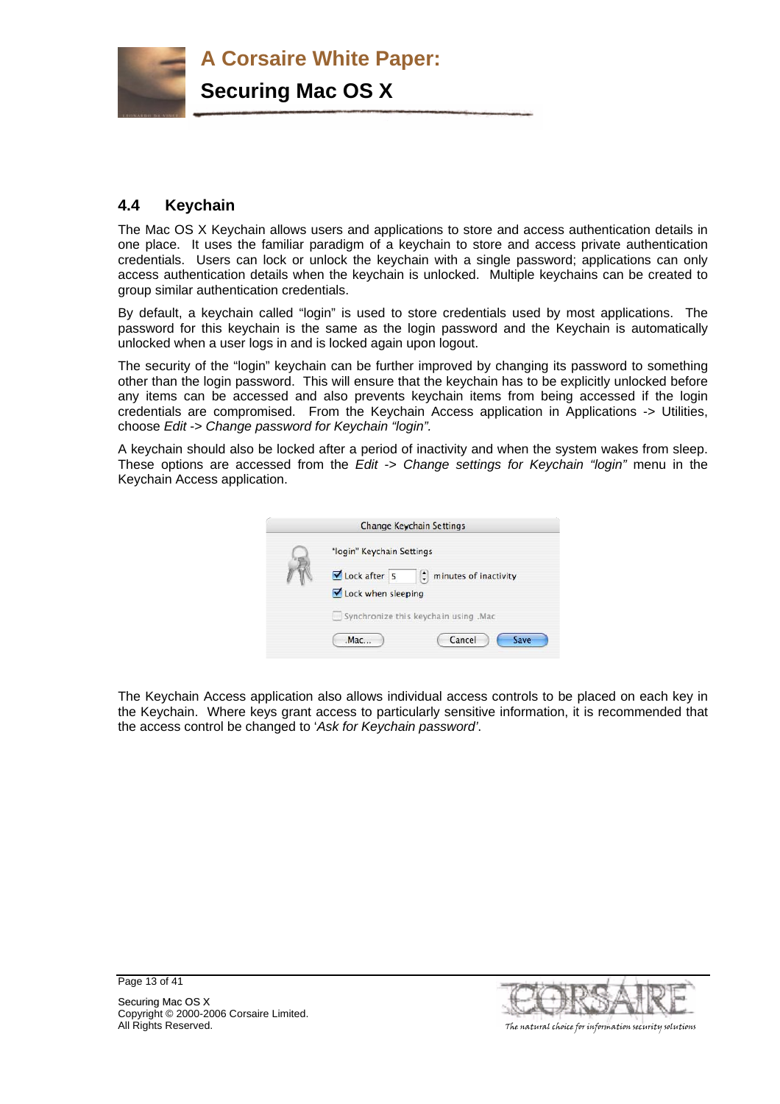

# **4.4 Keychain**

The Mac OS X Keychain allows users and applications to store and access authentication details in one place. It uses the familiar paradigm of a keychain to store and access private authentication credentials. Users can lock or unlock the keychain with a single password; applications can only access authentication details when the keychain is unlocked. Multiple keychains can be created to group similar authentication credentials.

By default, a keychain called "login" is used to store credentials used by most applications. The password for this keychain is the same as the login password and the Keychain is automatically unlocked when a user logs in and is locked again upon logout.

The security of the "login" keychain can be further improved by changing its password to something other than the login password. This will ensure that the keychain has to be explicitly unlocked before any items can be accessed and also prevents keychain items from being accessed if the login credentials are compromised. From the Keychain Access application in Applications -> Utilities, choose *Edit* -> *Change password for Keychain "login".* 

A keychain should also be locked after a period of inactivity and when the system wakes from sleep. These options are accessed from the *Edit* -> *Change settings for Keychain "login"* menu in the Keychain Access application.



The Keychain Access application also allows individual access controls to be placed on each key in the Keychain. Where keys grant access to particularly sensitive information, it is recommended that the access control be changed to '*Ask for Keychain password'*.



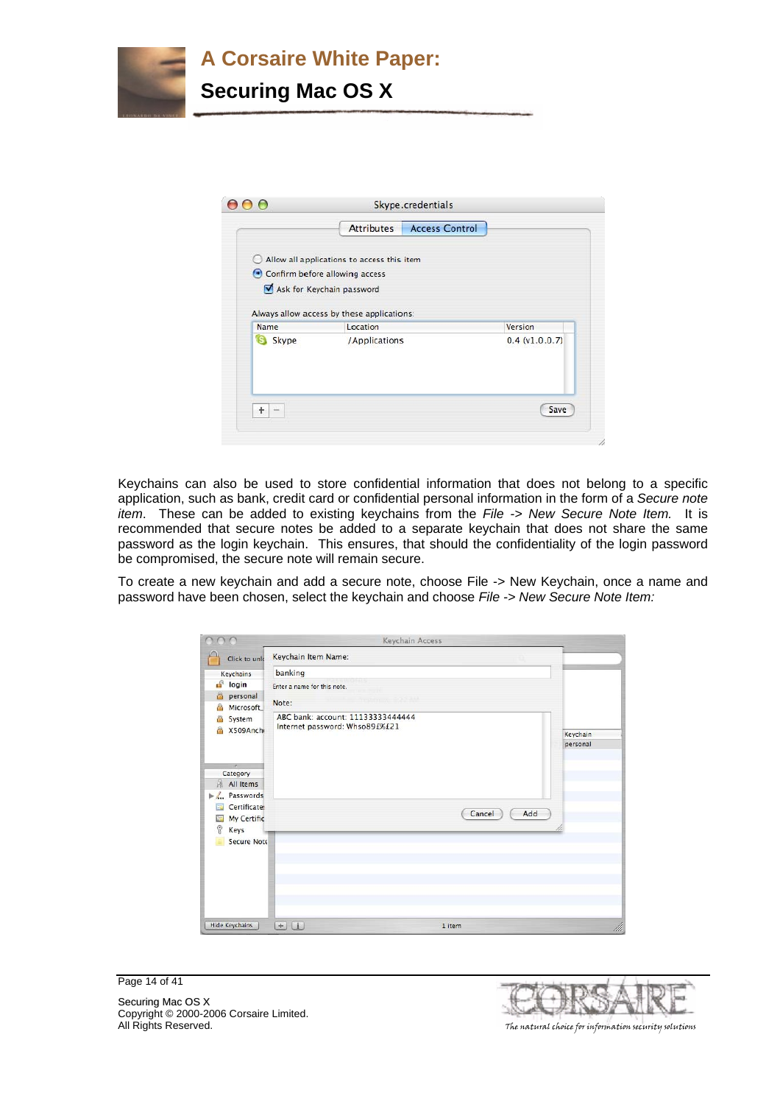

|             | <b>Attributes</b>                                      | <b>Access Control</b> |                |
|-------------|--------------------------------------------------------|-----------------------|----------------|
| $\sim$      | Allow all applications to access this item             |                       |                |
|             | Confirm before allowing access                         |                       |                |
|             | Ask for Keychain password                              |                       |                |
| Name        | Always allow access by these applications:<br>Location |                       | Version        |
| S.<br>Skype | /Applications                                          |                       | 0.4 (v1.0.0.7) |
|             |                                                        |                       |                |
|             |                                                        |                       |                |

Keychains can also be used to store confidential information that does not belong to a specific application, such as bank, credit card or confidential personal information in the form of a *Secure note item*. These can be added to existing keychains from the *File -> New Secure Note Item.* It is recommended that secure notes be added to a separate keychain that does not share the same password as the login keychain. This ensures, that should the confidentiality of the login password be compromised, the secure note will remain secure.

To create a new keychain and add a secure note, choose File -> New Keychain, once a name and password have been chosen, select the keychain and choose *File -> New Secure Note Item:* 

|                                    | Keychain Access                                                                    |          |
|------------------------------------|------------------------------------------------------------------------------------|----------|
| Click to unle                      | Keychain Item Name:                                                                |          |
| Keychains                          | banking                                                                            |          |
| சி<br>login                        | Enter a name for this note.                                                        |          |
| personal<br>€                      | The Library Council of the Analysis<br>Note:                                       |          |
| Microsoft<br>A                     |                                                                                    |          |
|                                    | ABC bank: account: 11133333444444<br>System<br>a<br>Internet password: Whso89£%£21 |          |
| X509Anchi                          |                                                                                    | Keychain |
|                                    |                                                                                    | personal |
| ×                                  |                                                                                    |          |
| Category                           |                                                                                    |          |
| ä<br>All Items                     |                                                                                    |          |
| Passwords<br>$\blacktriangleright$ |                                                                                    |          |
| Certificate:<br>區                  | Add<br>Cancel                                                                      |          |
| My Certific<br>量<br>ę              |                                                                                    |          |
| Keys<br>Secure Note                |                                                                                    |          |
|                                    |                                                                                    |          |
|                                    |                                                                                    |          |
|                                    |                                                                                    |          |
|                                    |                                                                                    |          |
|                                    |                                                                                    |          |
|                                    |                                                                                    |          |
| <b>Hide Keychains</b>              | (i)<br>$+$<br>1 item                                                               | /h       |

Page 14 of 41



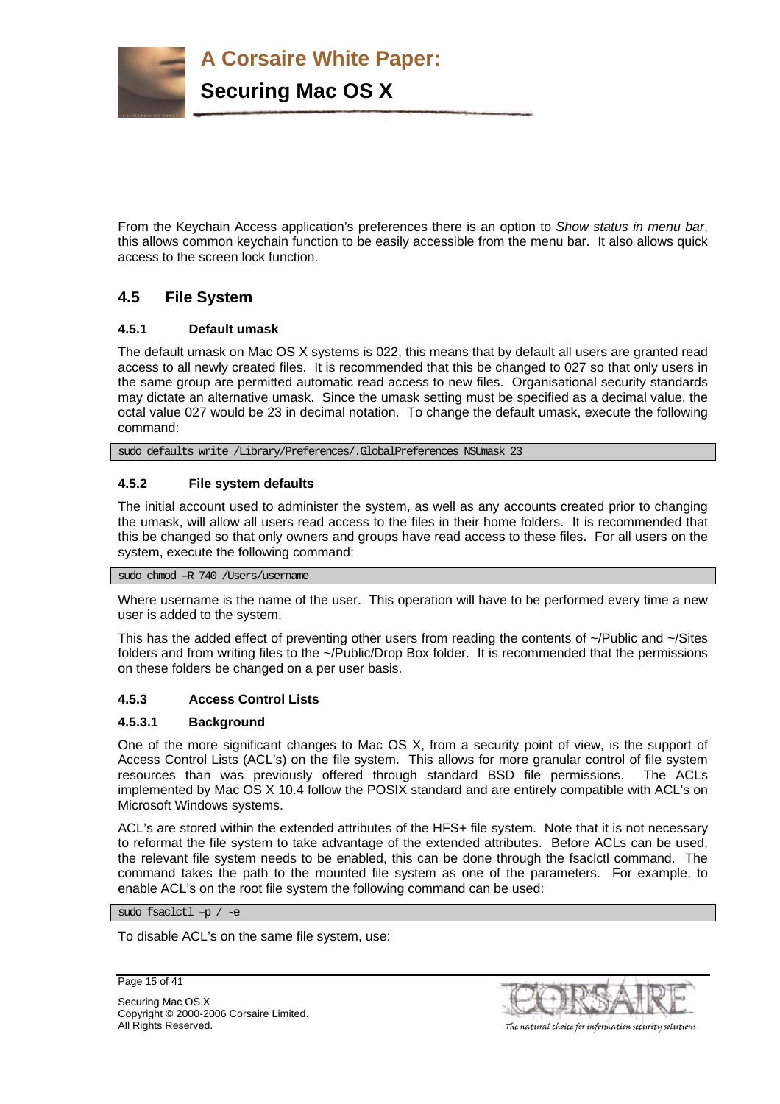**A Corsaire White Paper: Securing Mac OS X**

From the Keychain Access application's preferences there is an option to *Show status in menu bar*, this allows common keychain function to be easily accessible from the menu bar. It also allows quick access to the screen lock function.

# **4.5 File System**

# **4.5.1 Default umask**

The default umask on Mac OS X systems is 022, this means that by default all users are granted read access to all newly created files. It is recommended that this be changed to 027 so that only users in the same group are permitted automatic read access to new files. Organisational security standards may dictate an alternative umask. Since the umask setting must be specified as a decimal value, the octal value 027 would be 23 in decimal notation. To change the default umask, execute the following command:

sudo defaults write /Library/Preferences/.GlobalPreferences NSUmask 23

# **4.5.2 File system defaults**

The initial account used to administer the system, as well as any accounts created prior to changing the umask, will allow all users read access to the files in their home folders. It is recommended that this be changed so that only owners and groups have read access to these files. For all users on the system, execute the following command:

#### sudo chmod –R 740 /Users/username

Where username is the name of the user. This operation will have to be performed every time a new user is added to the system.

This has the added effect of preventing other users from reading the contents of ~/Public and ~/Sites folders and from writing files to the ~/Public/Drop Box folder. It is recommended that the permissions on these folders be changed on a per user basis.

# **4.5.3 Access Control Lists**

# **4.5.3.1 Background**

One of the more significant changes to Mac OS X, from a security point of view, is the support of Access Control Lists (ACL's) on the file system. This allows for more granular control of file system resources than was previously offered through standard BSD file permissions. The ACLs implemented by Mac OS X 10.4 follow the POSIX standard and are entirely compatible with ACL's on Microsoft Windows systems.

ACL's are stored within the extended attributes of the HFS+ file system. Note that it is not necessary to reformat the file system to take advantage of the extended attributes. Before ACLs can be used, the relevant file system needs to be enabled, this can be done through the fsaclctl command. The command takes the path to the mounted file system as one of the parameters. For example, to enable ACL's on the root file system the following command can be used:

sudo fsaclctl –p / -e

To disable ACL's on the same file system, use:

Page 15 of 41

Securing Mac OS X Copyright © 2000-2006 Corsaire Limited.



All Rights Reserved. The natural choice for information security solutions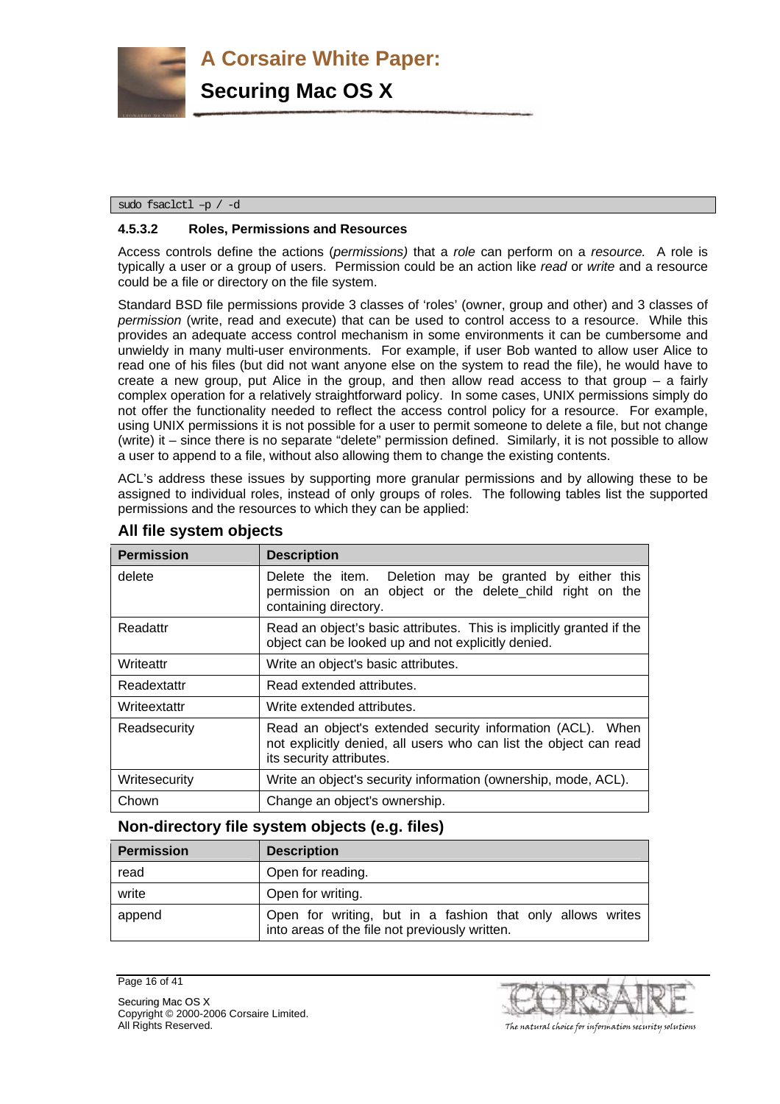

sudo fsaclctl –p / -d

### **4.5.3.2 Roles, Permissions and Resources**

Access controls define the actions (*permissions)* that a *role* can perform on a *resource.* A role is typically a user or a group of users. Permission could be an action like *read* or *write* and a resource could be a file or directory on the file system.

Standard BSD file permissions provide 3 classes of 'roles' (owner, group and other) and 3 classes of *permission* (write, read and execute) that can be used to control access to a resource. While this provides an adequate access control mechanism in some environments it can be cumbersome and unwieldy in many multi-user environments. For example, if user Bob wanted to allow user Alice to read one of his files (but did not want anyone else on the system to read the file), he would have to create a new group, put Alice in the group, and then allow read access to that group  $-$  a fairly complex operation for a relatively straightforward policy. In some cases, UNIX permissions simply do not offer the functionality needed to reflect the access control policy for a resource. For example, using UNIX permissions it is not possible for a user to permit someone to delete a file, but not change (write) it – since there is no separate "delete" permission defined. Similarly, it is not possible to allow a user to append to a file, without also allowing them to change the existing contents.

ACL's address these issues by supporting more granular permissions and by allowing these to be assigned to individual roles, instead of only groups of roles. The following tables list the supported permissions and the resources to which they can be applied:

| <b>Permission</b> | <b>Description</b>                                                                                                                                          |
|-------------------|-------------------------------------------------------------------------------------------------------------------------------------------------------------|
| delete            | Delete the item. Deletion may be granted by either this<br>permission on an object or the delete_child right on the<br>containing directory.                |
| Readattr          | Read an object's basic attributes. This is implicitly granted if the<br>object can be looked up and not explicitly denied.                                  |
| Writeattr         | Write an object's basic attributes.                                                                                                                         |
| Readextattr       | Read extended attributes.                                                                                                                                   |
| Writeextattr      | Write extended attributes.                                                                                                                                  |
| Readsecurity      | Read an object's extended security information (ACL). When<br>not explicitly denied, all users who can list the object can read<br>its security attributes. |
| Writesecurity     | Write an object's security information (ownership, mode, ACL).                                                                                              |
| Chown             | Change an object's ownership.                                                                                                                               |

# **All file system objects**

# **Non-directory file system objects (e.g. files)**

| <b>Permission</b> | <b>Description</b>                                                                                           |
|-------------------|--------------------------------------------------------------------------------------------------------------|
| read              | Open for reading.                                                                                            |
| write             | Open for writing.                                                                                            |
| append            | Open for writing, but in a fashion that only allows writes<br>into areas of the file not previously written. |

Page 16 of 41

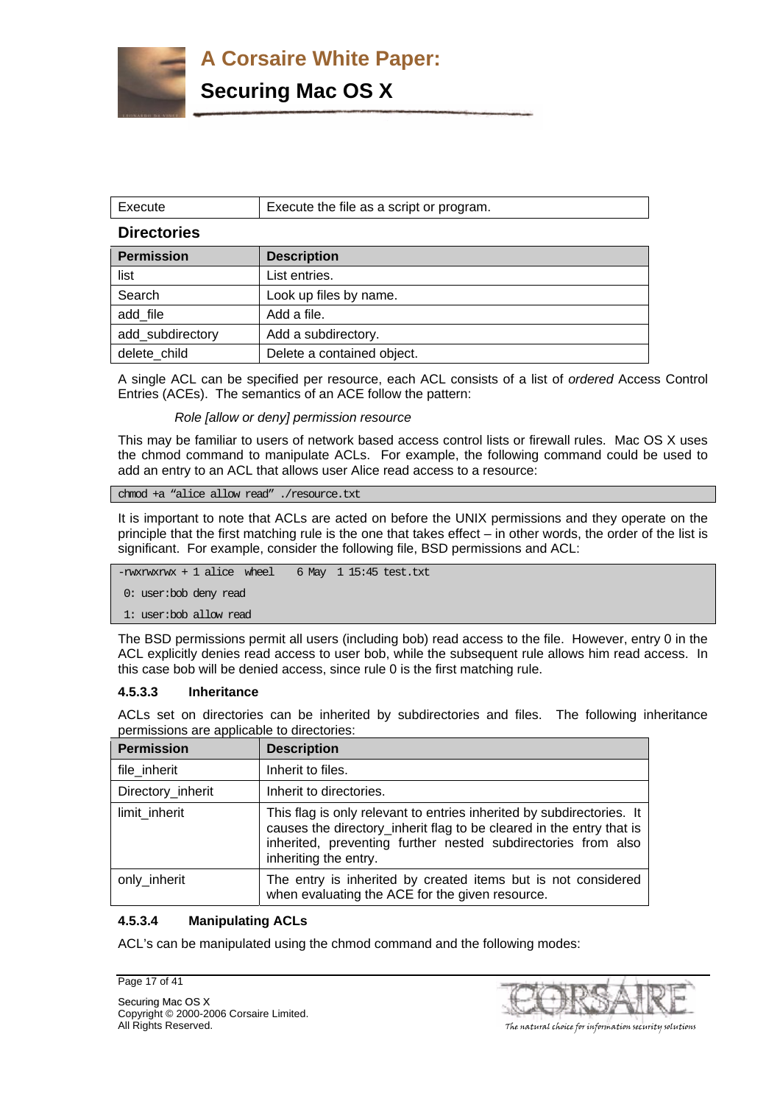**Securing Mac OS X**

| Execute            | Execute the file as a script or program. |
|--------------------|------------------------------------------|
| <b>Directories</b> |                                          |
| <b>Permission</b>  | <b>Description</b>                       |
| list               | List entries.                            |
| Search             | Look up files by name.                   |
| add file           | Add a file.                              |
| add subdirectory   | Add a subdirectory.                      |
| delete child       | Delete a contained object.               |

A single ACL can be specified per resource, each ACL consists of a list of *ordered* Access Control Entries (ACEs). The semantics of an ACE follow the pattern:

*Role [allow or deny] permission resource* 

This may be familiar to users of network based access control lists or firewall rules. Mac OS X uses the chmod command to manipulate ACLs. For example, the following command could be used to add an entry to an ACL that allows user Alice read access to a resource:

chmod +a "alice allow read" ./resource.txt

It is important to note that ACLs are acted on before the UNIX permissions and they operate on the principle that the first matching rule is the one that takes effect – in other words, the order of the list is significant. For example, consider the following file, BSD permissions and ACL:

-rwxrwxrwx + 1 alice wheel 6 May 1 15:45 test.txt

0: user:bob deny read

1: user:bob allow read

The BSD permissions permit all users (including bob) read access to the file. However, entry 0 in the ACL explicitly denies read access to user bob, while the subsequent rule allows him read access. In this case bob will be denied access, since rule 0 is the first matching rule.

# **4.5.3.3 Inheritance**

ACLs set on directories can be inherited by subdirectories and files. The following inheritance permissions are applicable to directories:

| <b>Permission</b> | <b>Description</b>                                                                                                                                                                                                                      |
|-------------------|-----------------------------------------------------------------------------------------------------------------------------------------------------------------------------------------------------------------------------------------|
| file_inherit      | Inherit to files.                                                                                                                                                                                                                       |
| Directory_inherit | Inherit to directories.                                                                                                                                                                                                                 |
| limit inherit     | This flag is only relevant to entries inherited by subdirectories. It<br>causes the directory_inherit flag to be cleared in the entry that is<br>inherited, preventing further nested subdirectories from also<br>inheriting the entry. |
| only_inherit      | The entry is inherited by created items but is not considered<br>when evaluating the ACE for the given resource.                                                                                                                        |

# **4.5.3.4 Manipulating ACLs**

ACL's can be manipulated using the chmod command and the following modes:

Page 17 of 41

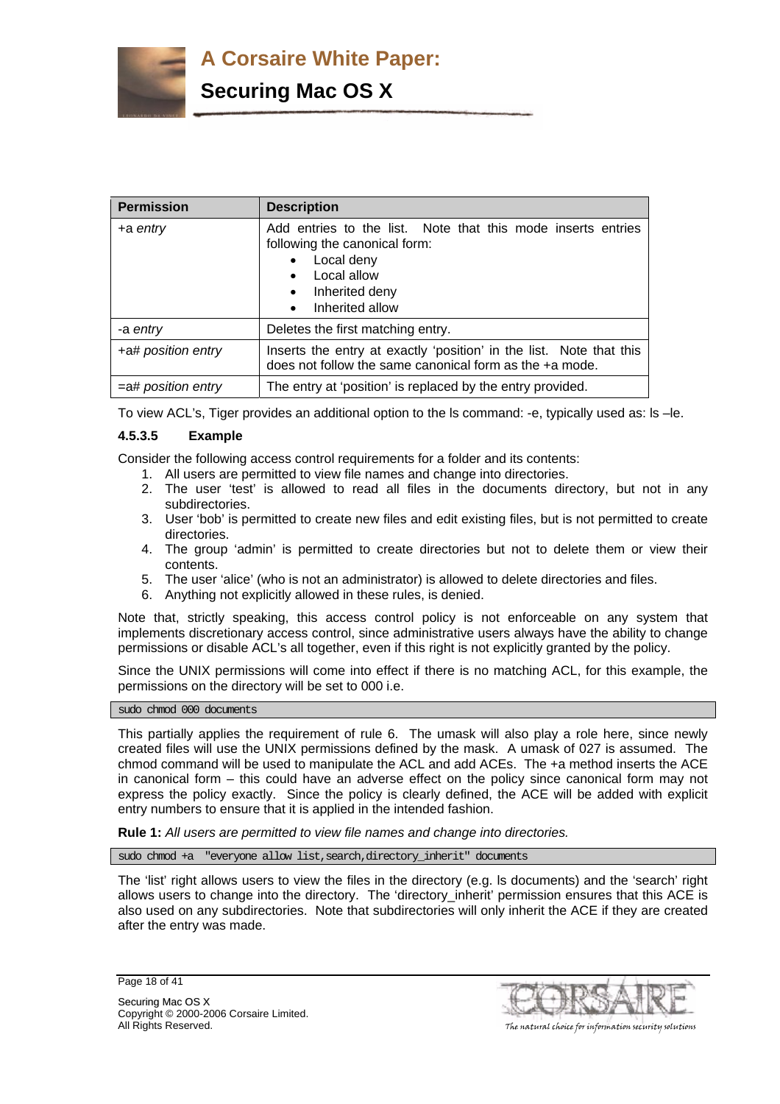

| <b>Permission</b>     | <b>Description</b>                                                                                                                                                                                                  |  |
|-----------------------|---------------------------------------------------------------------------------------------------------------------------------------------------------------------------------------------------------------------|--|
| +a entry              | Add entries to the list. Note that this mode inserts entries<br>following the canonical form:<br>Local deny<br>$\bullet$<br>Local allow<br>$\bullet$<br>Inherited deny<br>$\bullet$<br>Inherited allow<br>$\bullet$ |  |
| -a entry              | Deletes the first matching entry.                                                                                                                                                                                   |  |
| +a# position entry    | Inserts the entry at exactly 'position' in the list. Note that this<br>does not follow the same canonical form as the +a mode.                                                                                      |  |
| $=$ a# position entry | The entry at 'position' is replaced by the entry provided.                                                                                                                                                          |  |

To view ACL's, Tiger provides an additional option to the ls command: -e, typically used as: ls –le.

#### **4.5.3.5 Example**

Consider the following access control requirements for a folder and its contents:

- 1. All users are permitted to view file names and change into directories.
- 2. The user 'test' is allowed to read all files in the documents directory, but not in any subdirectories.
- 3. User 'bob' is permitted to create new files and edit existing files, but is not permitted to create directories.
- 4. The group 'admin' is permitted to create directories but not to delete them or view their contents.
- 5. The user 'alice' (who is not an administrator) is allowed to delete directories and files.
- 6. Anything not explicitly allowed in these rules, is denied.

Note that, strictly speaking, this access control policy is not enforceable on any system that implements discretionary access control, since administrative users always have the ability to change permissions or disable ACL's all together, even if this right is not explicitly granted by the policy.

Since the UNIX permissions will come into effect if there is no matching ACL, for this example, the permissions on the directory will be set to 000 i.e.

sudo chmod 000 documents

This partially applies the requirement of rule 6. The umask will also play a role here, since newly created files will use the UNIX permissions defined by the mask. A umask of 027 is assumed. The chmod command will be used to manipulate the ACL and add ACEs. The +a method inserts the ACE in canonical form – this could have an adverse effect on the policy since canonical form may not express the policy exactly. Since the policy is clearly defined, the ACE will be added with explicit entry numbers to ensure that it is applied in the intended fashion.

**Rule 1:** *All users are permitted to view file names and change into directories.*

sudo chmod +a "everyone allow list, search, directory\_inherit" documents

The 'list' right allows users to view the files in the directory (e.g. Is documents) and the 'search' right allows users to change into the directory. The 'directory\_inherit' permission ensures that this ACE is also used on any subdirectories. Note that subdirectories will only inherit the ACE if they are created after the entry was made.



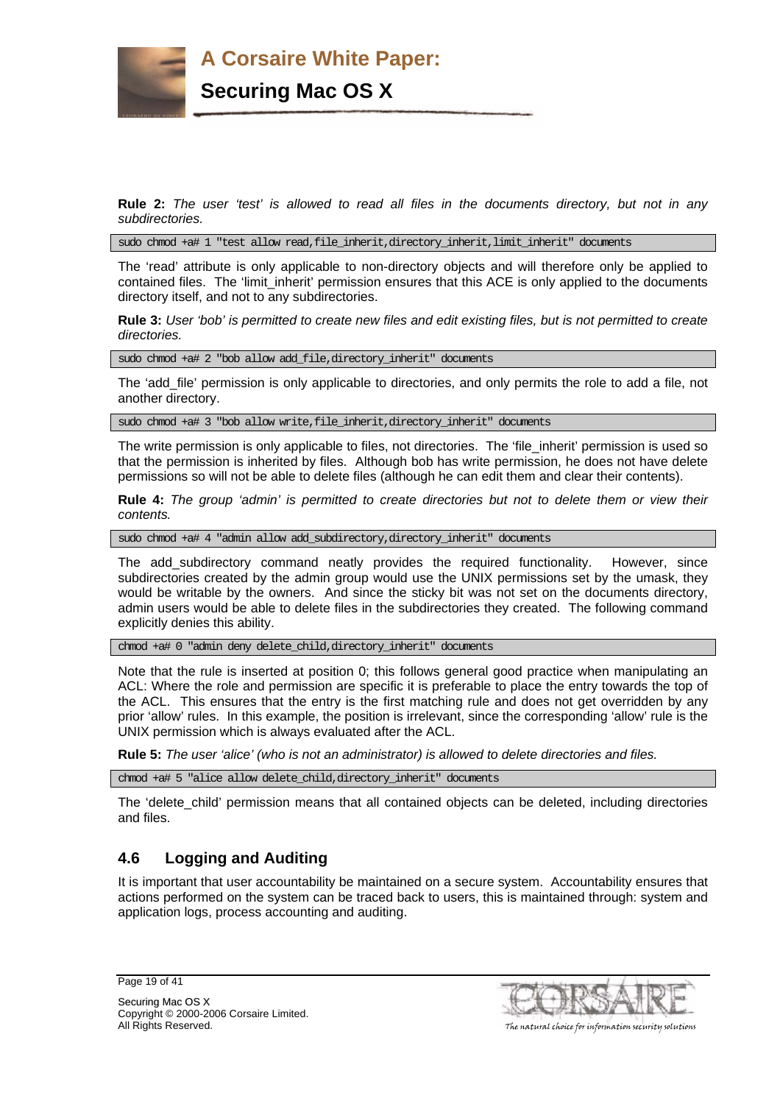

**Rule 2:** *The user 'test' is allowed to read all files in the documents directory, but not in any subdirectories.* 

sudo chmod +a# 1 "test allow read,file\_inherit,directory\_inherit,limit\_inherit" documents

The 'read' attribute is only applicable to non-directory objects and will therefore only be applied to contained files. The 'limit inherit' permission ensures that this ACE is only applied to the documents directory itself, and not to any subdirectories.

**Rule 3:** *User 'bob' is permitted to create new files and edit existing files, but is not permitted to create directories.*

sudo chmod +a# 2 "bob allow add\_file,directory\_inherit" documents

The 'add\_file' permission is only applicable to directories, and only permits the role to add a file, not another directory.

sudo chmod +a# 3 "bob allow write,file\_inherit,directory\_inherit" documents

The write permission is only applicable to files, not directories. The 'file\_inherit' permission is used so that the permission is inherited by files. Although bob has write permission, he does not have delete permissions so will not be able to delete files (although he can edit them and clear their contents).

**Rule 4:** *The group 'admin' is permitted to create directories but not to delete them or view their contents.* 

sudo chmod +a# 4 "admin allow add\_subdirectory,directory\_inherit" documents

The add\_subdirectory command neatly provides the required functionality. However, since subdirectories created by the admin group would use the UNIX permissions set by the umask, they would be writable by the owners. And since the sticky bit was not set on the documents directory, admin users would be able to delete files in the subdirectories they created. The following command explicitly denies this ability.

chmod +a# 0 "admin deny delete\_child,directory\_inherit" documents

Note that the rule is inserted at position 0; this follows general good practice when manipulating an ACL: Where the role and permission are specific it is preferable to place the entry towards the top of the ACL. This ensures that the entry is the first matching rule and does not get overridden by any prior 'allow' rules. In this example, the position is irrelevant, since the corresponding 'allow' rule is the UNIX permission which is always evaluated after the ACL.

**Rule 5:** *The user 'alice' (who is not an administrator) is allowed to delete directories and files.*

chmod +a# 5 "alice allow delete\_child,directory\_inherit" documents

The 'delete\_child' permission means that all contained objects can be deleted, including directories and files.

# **4.6 Logging and Auditing**

It is important that user accountability be maintained on a secure system. Accountability ensures that actions performed on the system can be traced back to users, this is maintained through: system and application logs, process accounting and auditing.

Page 19 of 41



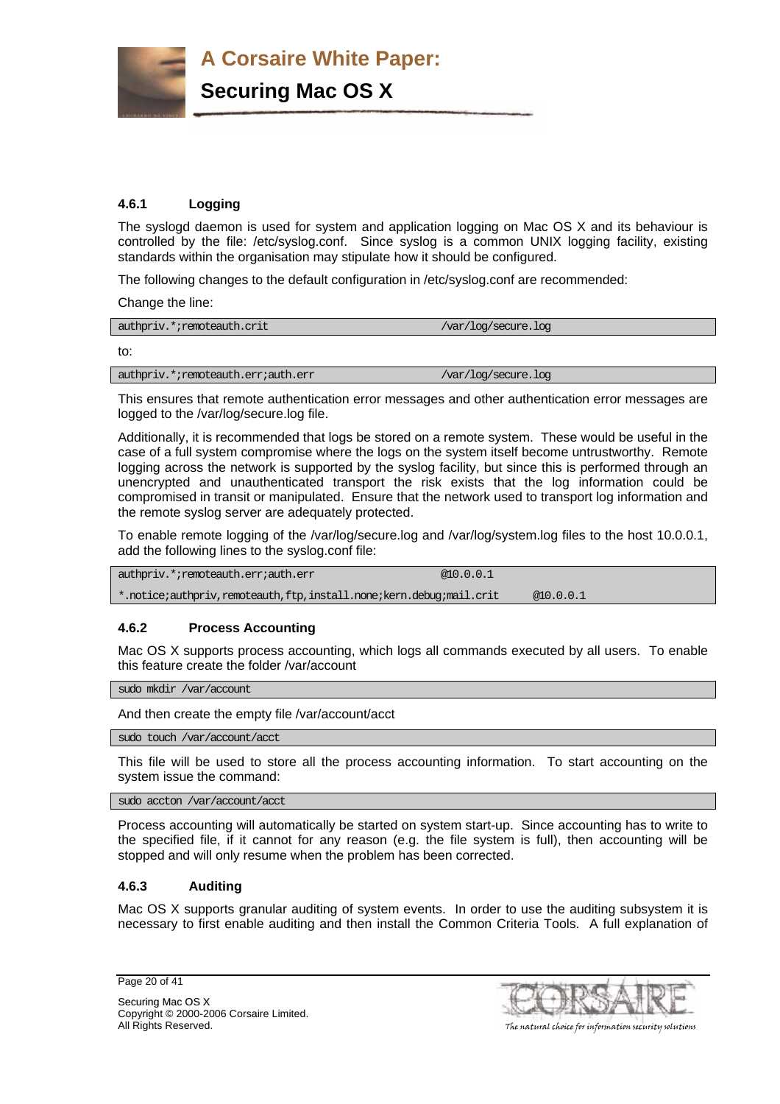

**Securing Mac OS X**

# **4.6.1 Logging**

The syslogd daemon is used for system and application logging on Mac OS X and its behaviour is controlled by the file: /etc/syslog.conf. Since syslog is a common UNIX logging facility, existing standards within the organisation may stipulate how it should be configured.

The following changes to the default configuration in /etc/syslog.conf are recommended:

Change the line:

| authpriv.*;remoteauth.crit | $\sqrt{var/log/sec}$ ure.log |
|----------------------------|------------------------------|
| to:                        |                              |

authpriv.\*;remoteauth.err;auth.err /var/log/secure.log

This ensures that remote authentication error messages and other authentication error messages are logged to the /var/log/secure.log file.

Additionally, it is recommended that logs be stored on a remote system. These would be useful in the case of a full system compromise where the logs on the system itself become untrustworthy. Remote logging across the network is supported by the syslog facility, but since this is performed through an unencrypted and unauthenticated transport the risk exists that the log information could be compromised in transit or manipulated. Ensure that the network used to transport log information and the remote syslog server are adequately protected.

To enable remote logging of the /var/log/secure.log and /var/log/system.log files to the host 10.0.0.1, add the following lines to the syslog.conf file:

authpriv.\*;remoteauth.err;auth.err  $\qquad \qquad \qquad \text{\&} 10.0.0.1$ \*.notice;authpriv,remoteauth,ftp,install.none;kern.debug;mail.crit @10.0.0.1

# **4.6.2 Process Accounting**

Mac OS X supports process accounting, which logs all commands executed by all users. To enable this feature create the folder /var/account

sudo mkdir /var/account

And then create the empty file /var/account/acct

sudo touch /var/account/acct

This file will be used to store all the process accounting information. To start accounting on the system issue the command:

sudo accton /var/account/acct

Process accounting will automatically be started on system start-up. Since accounting has to write to the specified file, if it cannot for any reason (e.g. the file system is full), then accounting will be stopped and will only resume when the problem has been corrected.

# **4.6.3 Auditing**

Mac OS X supports granular auditing of system events. In order to use the auditing subsystem it is necessary to first enable auditing and then install the Common Criteria Tools. A full explanation of

Page 20 of 41

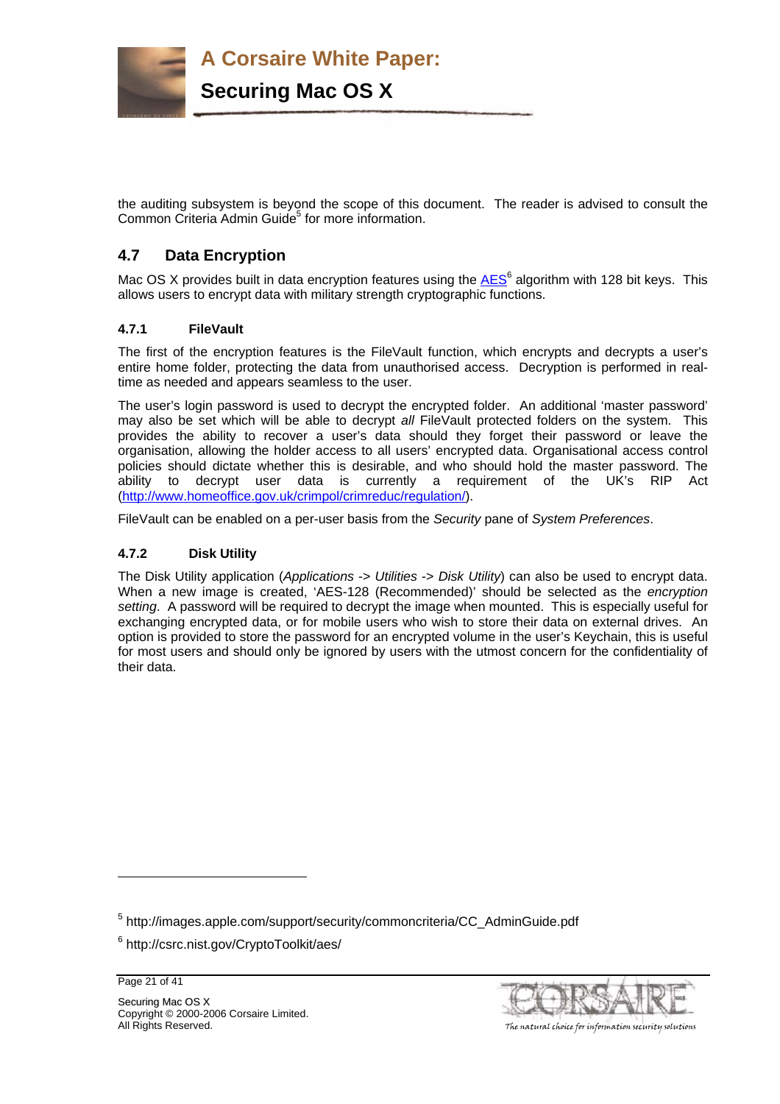

the auditing subsystem is beyond the scope of this document. The reader is advised to consult the Common Criteria Admin Guide<sup>5</sup> for more information.

# **4.7 Data Encryption**

Mac OS X provides built in data encryption features using the  $AES^6$  algorithm with 128 bit keys. This allows users to encrypt data with military strength cryptographic functions.

# **4.7.1 FileVault**

The first of the encryption features is the FileVault function, which encrypts and decrypts a user's entire home folder, protecting the data from unauthorised access. Decryption is performed in realtime as needed and appears seamless to the user.

The user's login password is used to decrypt the encrypted folder. An additional 'master password' may also be set which will be able to decrypt *all* FileVault protected folders on the system. This provides the ability to recover a user's data should they forget their password or leave the organisation, allowing the holder access to all users' encrypted data. Organisational access control policies should dictate whether this is desirable, and who should hold the master password. The ability to decrypt user data is currently a requirement of the UK's RIP Act (http://www.homeoffice.gov.uk/crimpol/crimreduc/regulation/).

FileVault can be enabled on a per-user basis from the *Security* pane of *System Preferences*.

# **4.7.2 Disk Utility**

The Disk Utility application (*Applications* -> *Utilities* -> *Disk Utility*) can also be used to encrypt data. When a new image is created, 'AES-128 (Recommended)' should be selected as the *encryption setting*. A password will be required to decrypt the image when mounted. This is especially useful for exchanging encrypted data, or for mobile users who wish to store their data on external drives. An option is provided to store the password for an encrypted volume in the user's Keychain, this is useful for most users and should only be ignored by users with the utmost concern for the confidentiality of their data.

Page 21 of 41

l



<sup>&</sup>lt;sup>5</sup> http://images.apple.com/support/security/commoncriteria/CC\_AdminGuide.pdf

<sup>6</sup> http://csrc.nist.gov/CryptoToolkit/aes/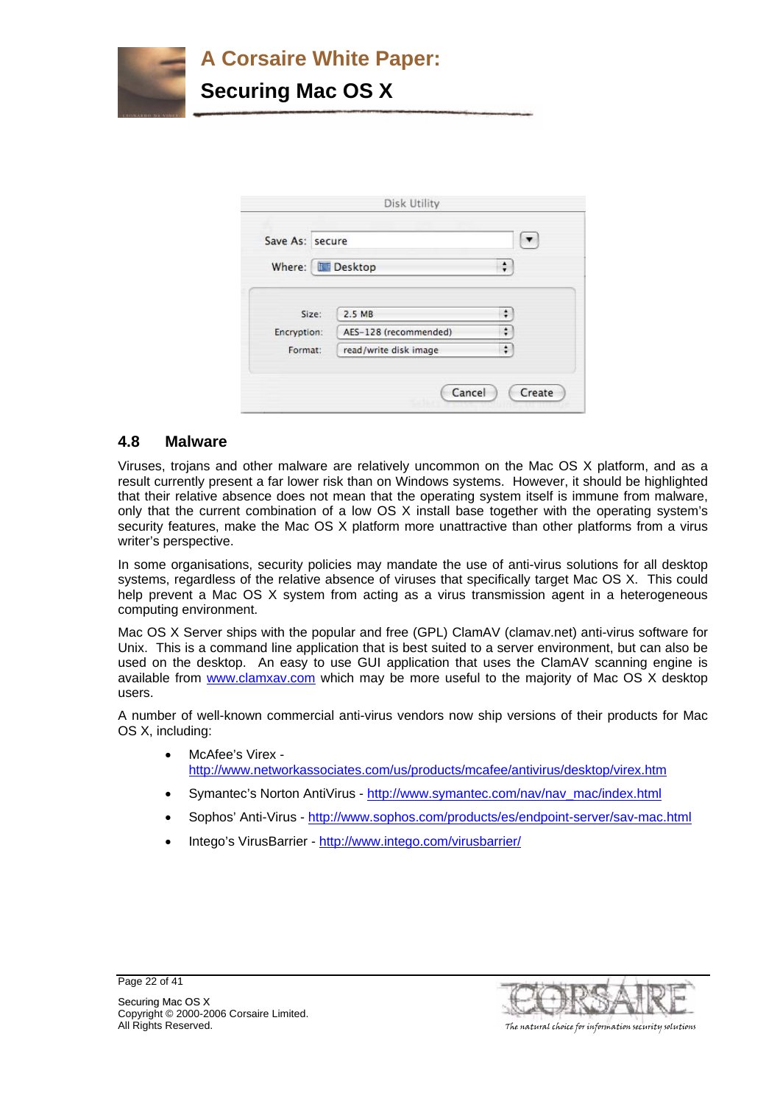

| Save As: secure          |                       |                            |
|--------------------------|-----------------------|----------------------------|
| Where: <b>B. Desktop</b> |                       | $\frac{\star}{\mathbf{v}}$ |
| Size:                    | 2.5 MB                | $\div$                     |
| Encryption:              | AES-128 (recommended) | ÷                          |
| Format:                  | read/write disk image | ÷                          |

# **4.8 Malware**

Viruses, trojans and other malware are relatively uncommon on the Mac OS X platform, and as a result currently present a far lower risk than on Windows systems. However, it should be highlighted that their relative absence does not mean that the operating system itself is immune from malware, only that the current combination of a low OS X install base together with the operating system's security features, make the Mac OS X platform more unattractive than other platforms from a virus writer's perspective.

In some organisations, security policies may mandate the use of anti-virus solutions for all desktop systems, regardless of the relative absence of viruses that specifically target Mac OS X. This could help prevent a Mac OS X system from acting as a virus transmission agent in a heterogeneous computing environment.

Mac OS X Server ships with the popular and free (GPL) ClamAV (clamav.net) anti-virus software for Unix. This is a command line application that is best suited to a server environment, but can also be used on the desktop. An easy to use GUI application that uses the ClamAV scanning engine is available from www.clamxav.com which may be more useful to the majority of Mac OS X desktop users.

A number of well-known commercial anti-virus vendors now ship versions of their products for Mac OS X, including:

- McAfee's Virex http://www.networkassociates.com/us/products/mcafee/antivirus/desktop/virex.htm
- Symantec's Norton AntiVirus http://www.symantec.com/nav/nav\_mac/index.html
- Sophos' Anti-Virus http://www.sophos.com/products/es/endpoint-server/sav-mac.html
- Intego's VirusBarrier http://www.intego.com/virusbarrier/



Securing Mac OS X Copyright © 2000-2006 Corsaire Limited.

Page 22 of 41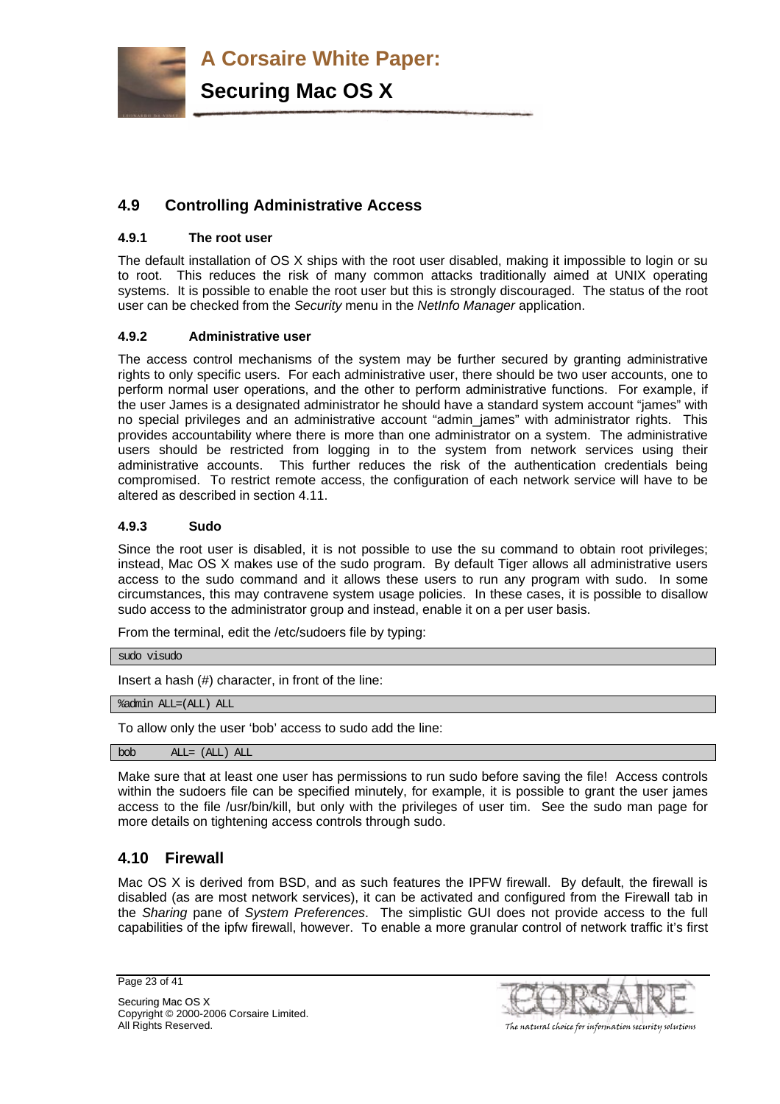**Securing Mac OS X**

# **4.9 Controlling Administrative Access**

# **4.9.1 The root user**

The default installation of OS X ships with the root user disabled, making it impossible to login or su to root. This reduces the risk of many common attacks traditionally aimed at UNIX operating systems. It is possible to enable the root user but this is strongly discouraged. The status of the root user can be checked from the *Security* menu in the *NetInfo Manager* application.

# **4.9.2 Administrative user**

The access control mechanisms of the system may be further secured by granting administrative rights to only specific users. For each administrative user, there should be two user accounts, one to perform normal user operations, and the other to perform administrative functions. For example, if the user James is a designated administrator he should have a standard system account "james" with no special privileges and an administrative account "admin\_james" with administrator rights. This provides accountability where there is more than one administrator on a system. The administrative users should be restricted from logging in to the system from network services using their administrative accounts. This further reduces the risk of the authentication credentials being compromised. To restrict remote access, the configuration of each network service will have to be altered as described in section 4.11.

# **4.9.3 Sudo**

Since the root user is disabled, it is not possible to use the su command to obtain root privileges; instead, Mac OS X makes use of the sudo program. By default Tiger allows all administrative users access to the sudo command and it allows these users to run any program with sudo. In some circumstances, this may contravene system usage policies. In these cases, it is possible to disallow sudo access to the administrator group and instead, enable it on a per user basis.

From the terminal, edit the /etc/sudoers file by typing:

```
sudo visudo
```
Insert a hash (#) character, in front of the line:

%admin ALL=(ALL) ALL

To allow only the user 'bob' access to sudo add the line:

bob ALL= (ALL) ALL

Make sure that at least one user has permissions to run sudo before saving the file! Access controls within the sudoers file can be specified minutely, for example, it is possible to grant the user james access to the file /usr/bin/kill, but only with the privileges of user tim. See the sudo man page for more details on tightening access controls through sudo.

# **4.10 Firewall**

Mac OS X is derived from BSD, and as such features the IPFW firewall. By default, the firewall is disabled (as are most network services), it can be activated and configured from the Firewall tab in the *Sharing* pane of *System Preferences*. The simplistic GUI does not provide access to the full capabilities of the ipfw firewall, however. To enable a more granular control of network traffic it's first

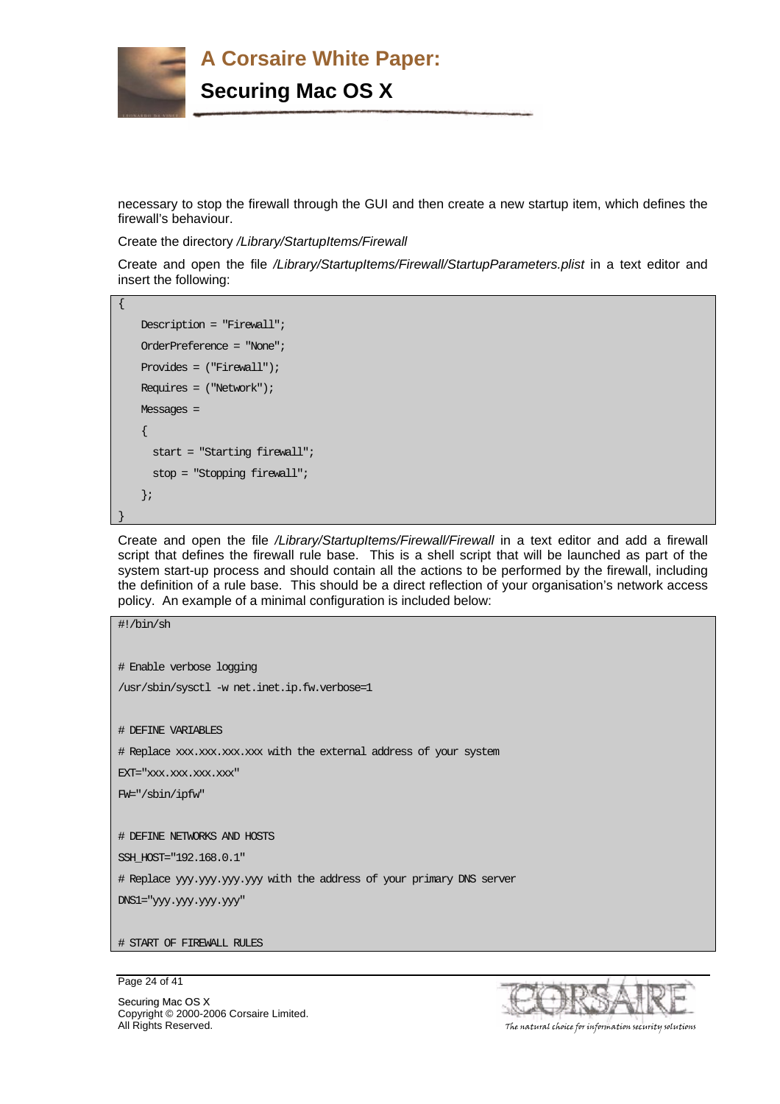

necessary to stop the firewall through the GUI and then create a new startup item, which defines the firewall's behaviour.

Create the directory */Library/StartupItems/Firewall*

Create and open the file */Library/StartupItems/Firewall/StartupParameters.plist* in a text editor and insert the following:

```
{ 
    Description = "Firewall"; 
    OrderPreference = "None"; 
    Provides = ("Firewall"); 
    Requires = ("Network"); 
   Messages =
     { 
       start = "Starting firewall"; 
       stop = "Stopping firewall"; 
     }; 
}
```
Create and open the file */Library/StartupItems/Firewall/Firewall* in a text editor and add a firewall script that defines the firewall rule base. This is a shell script that will be launched as part of the system start-up process and should contain all the actions to be performed by the firewall, including the definition of a rule base. This should be a direct reflection of your organisation's network access policy. An example of a minimal configuration is included below:

```
#!/bin/sh 
# Enable verbose logging 
/usr/sbin/sysctl -w net.inet.ip.fw.verbose=1 
# DEFINE VARIABLES 
# Replace xxx.xxx.xxx.xxx with the external address of your system 
EXT="xxx.xxx.xxx.xxx"
FW="/sbin/ipfw" 
# DEFINE NETWORKS AND HOSTS 
SSH_HOST="192.168.0.1"
# Replace yyy.yyy.yyy.yyy with the address of your primary DNS server 
DNS1="yyy.yyy.yyy.yyy" 
# START OF FIREWALL RULES
```
Page 24 of 41



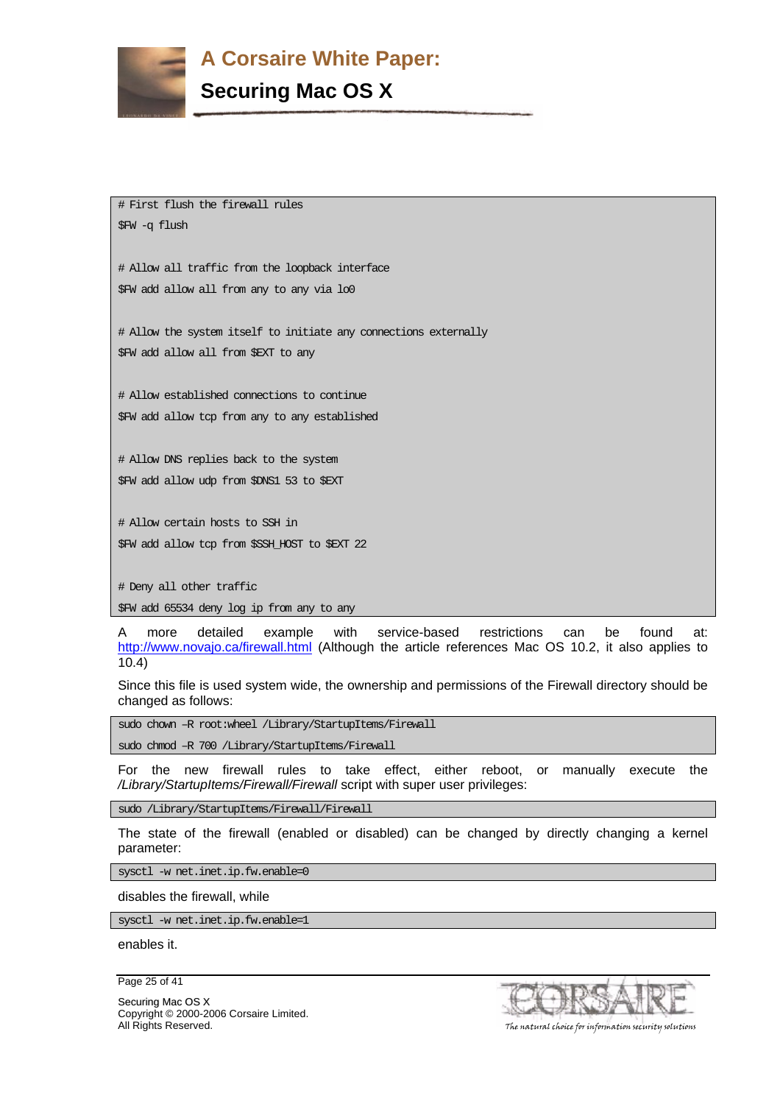

# **Securing Mac OS X**

# First flush the firewall rules \$FW -q flush

# Allow all traffic from the loopback interface \$FW add allow all from any to any via lo0

# Allow the system itself to initiate any connections externally \$FW add allow all from \$EXT to any

# Allow established connections to continue \$FW add allow tcp from any to any established

# Allow DNS replies back to the system \$FW add allow udp from \$DNS1 53 to \$EXT

# Allow certain hosts to SSH in \$FW add allow tcp from \$SSH\_HOST to \$EXT 22

# Deny all other traffic

\$FW add 65534 deny log ip from any to any

A more detailed example with service-based restrictions can be found at: http://www.novajo.ca/firewall.html (Although the article references Mac OS 10.2, it also applies to 10.4)

Since this file is used system wide, the ownership and permissions of the Firewall directory should be changed as follows:

sudo chown -R root:wheel /Library/StartupItems/Firewall

sudo chmod -R 700 /Library/StartupItems/Firewall

For the new firewall rules to take effect, either reboot, or manually execute the */Library/StartupItems/Firewall/Firewall* script with super user privileges:

sudo /Library/StartupItems/Firewall/Firewall

The state of the firewall (enabled or disabled) can be changed by directly changing a kernel parameter:

sysctl -w net.inet.ip.fw.enable=0

disables the firewall, while

sysctl -w net.inet.ip.fw.enable=1

enables it.

Page 25 of 41

Securing Mac OS X Copyright © 2000-2006 Corsaire Limited. All Rights Reserved. The natural choice for information security solutions

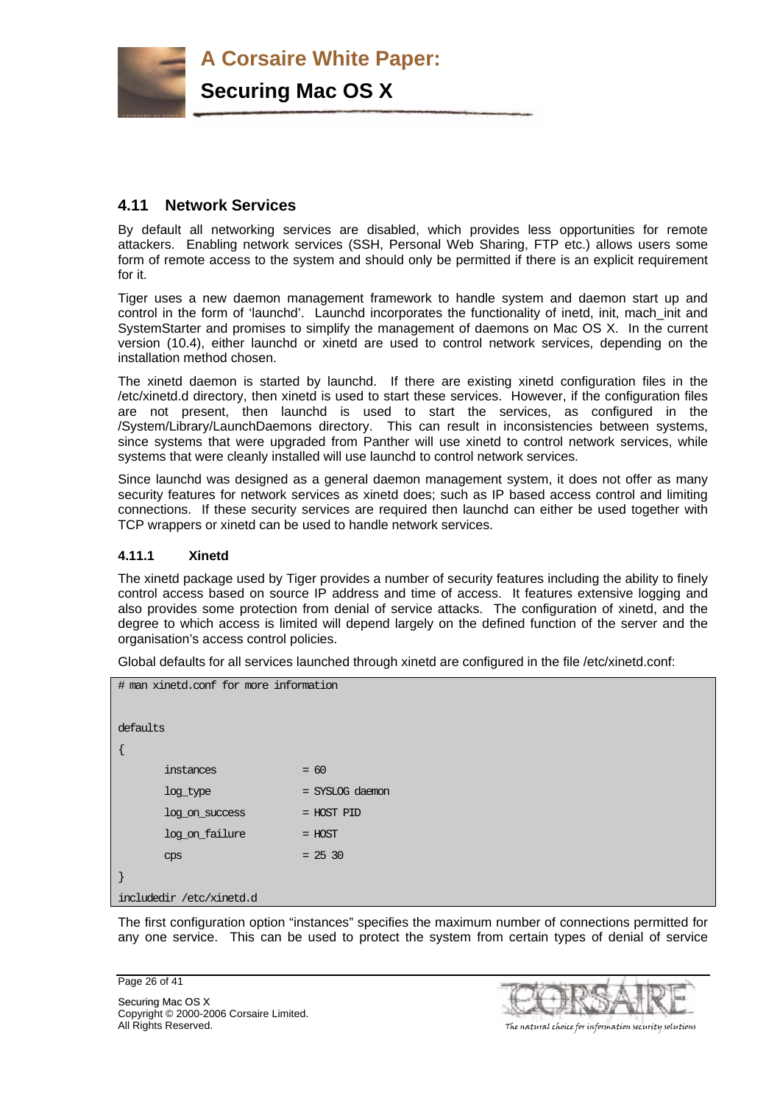

# **4.11 Network Services**

By default all networking services are disabled, which provides less opportunities for remote attackers. Enabling network services (SSH, Personal Web Sharing, FTP etc.) allows users some form of remote access to the system and should only be permitted if there is an explicit requirement for it.

Tiger uses a new daemon management framework to handle system and daemon start up and control in the form of 'launchd'. Launchd incorporates the functionality of inetd, init, mach init and SystemStarter and promises to simplify the management of daemons on Mac OS X. In the current version (10.4), either launchd or xinetd are used to control network services, depending on the installation method chosen.

The xinetd daemon is started by launchd. If there are existing xinetd configuration files in the /etc/xinetd.d directory, then xinetd is used to start these services. However, if the configuration files are not present, then launchd is used to start the services, as configured in the /System/Library/LaunchDaemons directory. This can result in inconsistencies between systems, since systems that were upgraded from Panther will use xinetd to control network services, while systems that were cleanly installed will use launchd to control network services.

Since launchd was designed as a general daemon management system, it does not offer as many security features for network services as xinetd does; such as IP based access control and limiting connections. If these security services are required then launchd can either be used together with TCP wrappers or xinetd can be used to handle network services.

# **4.11.1 Xinetd**

The xinetd package used by Tiger provides a number of security features including the ability to finely control access based on source IP address and time of access. It features extensive logging and also provides some protection from denial of service attacks. The configuration of xinetd, and the degree to which access is limited will depend largely on the defined function of the server and the organisation's access control policies.

Global defaults for all services launched through xinetd are configured in the file /etc/xinetd.conf:

| # man xinetd.conf for more information |                 |  |  |
|----------------------------------------|-----------------|--|--|
|                                        |                 |  |  |
| defaults                               |                 |  |  |
|                                        |                 |  |  |
| instances                              | $= 60$          |  |  |
| log type                               | = SYSLOG daemon |  |  |
| log on success                         | = HOST PID      |  |  |
| log on failure                         | $=$ HOST        |  |  |
| CDS                                    | $= 2530$        |  |  |
|                                        |                 |  |  |
| includedir /etc/xinetd.d               |                 |  |  |

The first configuration option "instances" specifies the maximum number of connections permitted for any one service. This can be used to protect the system from certain types of denial of service

Page 26 of 41

Securing Mac OS X Copyright © 2000-2006 Corsaire Limited. All Rights Reserved. The natural choice for information security solutions

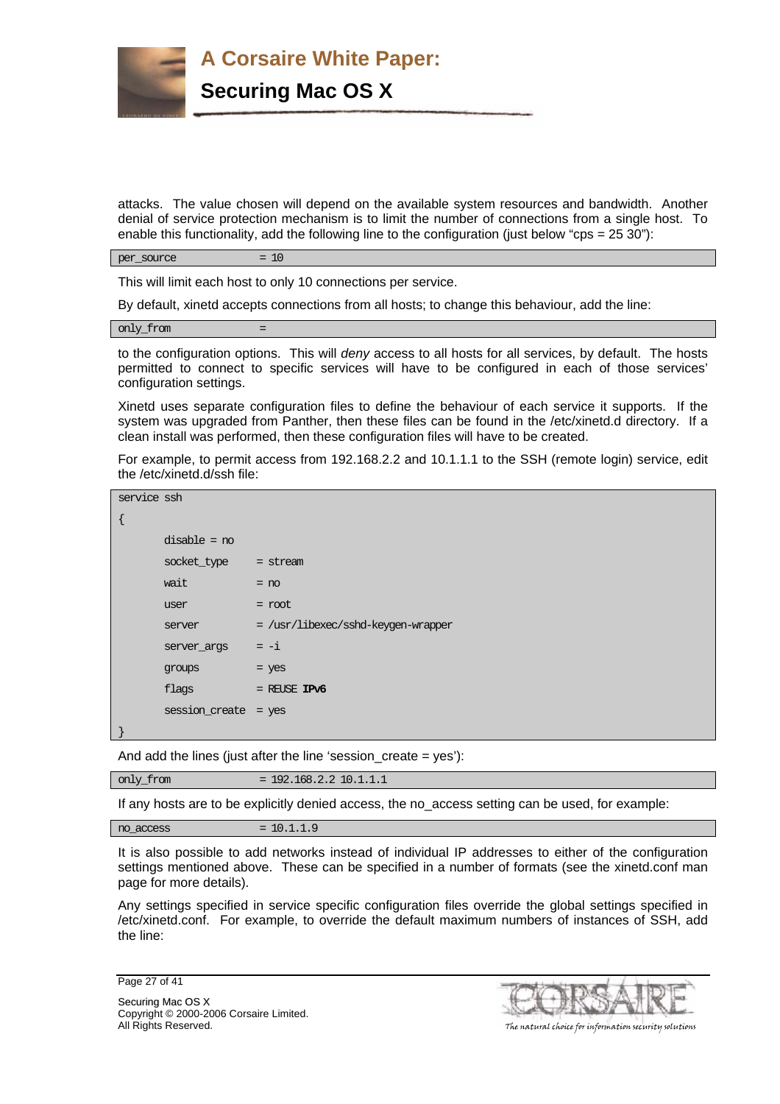

attacks. The value chosen will depend on the available system resources and bandwidth. Another denial of service protection mechanism is to limit the number of connections from a single host. To enable this functionality, add the following line to the configuration (just below "cps =  $25\,30$ "):

 $per$  source  $= 10$ 

This will limit each host to only 10 connections per service.

By default, xinetd accepts connections from all hosts; to change this behaviour, add the line:

only\_from =

to the configuration options. This will *deny* access to all hosts for all services, by default. The hosts permitted to connect to specific services will have to be configured in each of those services' configuration settings.

Xinetd uses separate configuration files to define the behaviour of each service it supports. If the system was upgraded from Panther, then these files can be found in the /etc/xinetd.d directory. If a clean install was performed, then these configuration files will have to be created.

For example, to permit access from 192.168.2.2 and 10.1.1.1 to the SSH (remote login) service, edit the /etc/xinetd.d/ssh file:

| service ssh |                        |                                    |
|-------------|------------------------|------------------------------------|
|             |                        |                                    |
|             | $disable = no$         |                                    |
|             | $socket_type = stream$ |                                    |
|             | wait                   | $= no$                             |
|             | user                   | $=$ root                           |
|             | server                 | = /usr/libexec/sshd-keygen-wrapper |
|             | server args            | $=-i$                              |
|             | <b>groups</b>          | $=$ yes                            |
|             | flags                  | $=$ REUSE IPv6                     |
|             | session create = yes   |                                    |
|             |                        |                                    |

And add the lines (just after the line 'session create  $=$  yes'):

only\_from = 192.168.2.2 10.1.1.1

If any hosts are to be explicitly denied access, the no\_access setting can be used, for example:

 $no\ access = 10.1.1.9$ 

It is also possible to add networks instead of individual IP addresses to either of the configuration settings mentioned above. These can be specified in a number of formats (see the xinetd.conf man page for more details).

Any settings specified in service specific configuration files override the global settings specified in /etc/xinetd.conf. For example, to override the default maximum numbers of instances of SSH, add the line:

Page 27 of 41

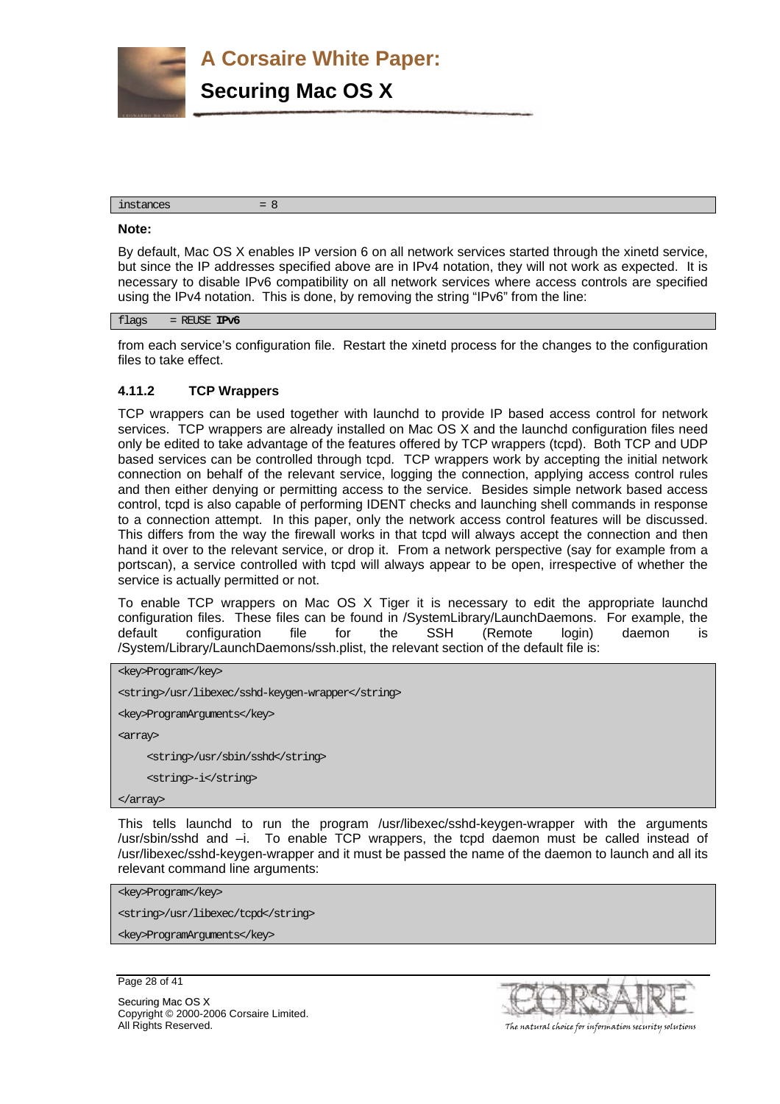**A Corsaire White Paper: Securing Mac OS X**

#### $instances = 8$

#### **Note:**

By default, Mac OS X enables IP version 6 on all network services started through the xinetd service, but since the IP addresses specified above are in IPv4 notation, they will not work as expected. It is necessary to disable IPv6 compatibility on all network services where access controls are specified using the IPv4 notation. This is done, by removing the string "IPv6" from the line:

flags = REUSE **IPv6**

from each service's configuration file. Restart the xinetd process for the changes to the configuration files to take effect.

#### **4.11.2 TCP Wrappers**

TCP wrappers can be used together with launchd to provide IP based access control for network services. TCP wrappers are already installed on Mac OS X and the launchd configuration files need only be edited to take advantage of the features offered by TCP wrappers (tcpd). Both TCP and UDP based services can be controlled through tcpd. TCP wrappers work by accepting the initial network connection on behalf of the relevant service, logging the connection, applying access control rules and then either denying or permitting access to the service. Besides simple network based access control, tcpd is also capable of performing IDENT checks and launching shell commands in response to a connection attempt. In this paper, only the network access control features will be discussed. This differs from the way the firewall works in that tcpd will always accept the connection and then hand it over to the relevant service, or drop it. From a network perspective (say for example from a portscan), a service controlled with tcpd will always appear to be open, irrespective of whether the service is actually permitted or not.

To enable TCP wrappers on Mac OS X Tiger it is necessary to edit the appropriate launchd configuration files. These files can be found in /SystemLibrary/LaunchDaemons. For example, the default configuration file for the SSH (Remote login) daemon is /System/Library/LaunchDaemons/ssh.plist, the relevant section of the default file is:

```
<key>Program</key>
```
<string>/usr/libexec/sshd-keygen-wrapper</string>

<key>ProgramArguments</key>

<array>

<string>/usr/sbin/sshd</string>

<string>-i</string>

</array>

This tells launchd to run the program /usr/libexec/sshd-keygen-wrapper with the arguments /usr/sbin/sshd and –i. To enable TCP wrappers, the tcpd daemon must be called instead of /usr/libexec/sshd-keygen-wrapper and it must be passed the name of the daemon to launch and all its relevant command line arguments:

<key>Program</key>

<string>/usr/libexec/tcpd</string>

<key>ProgramArguments</key>

Page 28 of 41

Securing Mac OS X Copyright © 2000-2006 Corsaire Limited. All Rights Reserved. The natural choice for information security solutions

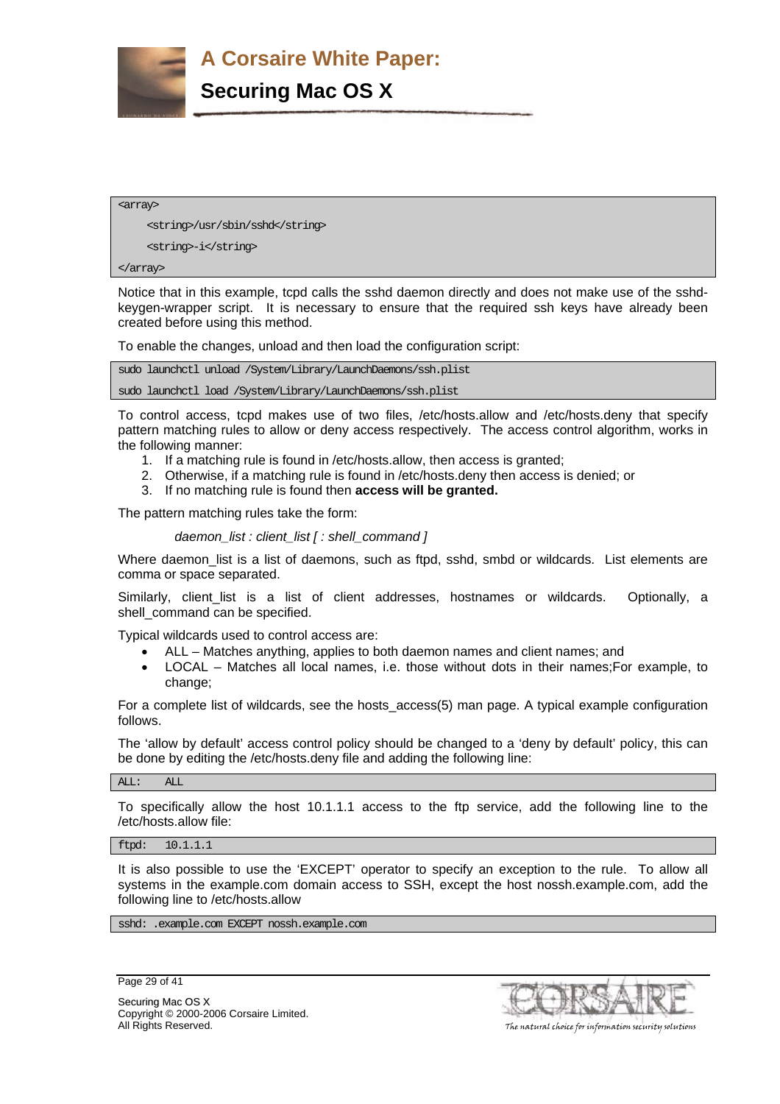

<array>

<string>/usr/sbin/sshd</string>

<string>-i</string>

</array>

Notice that in this example, tcpd calls the sshd daemon directly and does not make use of the sshdkeygen-wrapper script. It is necessary to ensure that the required ssh keys have already been created before using this method.

To enable the changes, unload and then load the configuration script:

sudo launchctl unload /System/Library/LaunchDaemons/ssh.plist

sudo launchctl load /System/Library/LaunchDaemons/ssh.plist

To control access, tcpd makes use of two files, /etc/hosts.allow and /etc/hosts.deny that specify pattern matching rules to allow or deny access respectively. The access control algorithm, works in the following manner:

- 1. If a matching rule is found in /etc/hosts.allow, then access is granted;
- 2. Otherwise, if a matching rule is found in /etc/hosts.deny then access is denied; or
- 3. If no matching rule is found then **access will be granted.**

The pattern matching rules take the form:

*daemon\_list : client\_list [ : shell\_command ]* 

Where daemon list is a list of daemons, such as ftpd, sshd, smbd or wildcards. List elements are comma or space separated.

Similarly, client list is a list of client addresses, hostnames or wildcards. Optionally, a shell command can be specified.

Typical wildcards used to control access are:

- ALL Matches anything, applies to both daemon names and client names; and
- LOCAL Matches all local names, i.e. those without dots in their names;For example, to change;

For a complete list of wildcards, see the hosts\_access(5) man page. A typical example configuration follows.

The 'allow by default' access control policy should be changed to a 'deny by default' policy, this can be done by editing the /etc/hosts.deny file and adding the following line:

ALL: ALL

To specifically allow the host 10.1.1.1 access to the ftp service, add the following line to the /etc/hosts.allow file:

ftpd: 10.1.1.1

It is also possible to use the 'EXCEPT' operator to specify an exception to the rule. To allow all systems in the example.com domain access to SSH, except the host nossh.example.com, add the following line to /etc/hosts.allow

sshd: .example.com EXCEPT nossh.example.com

Page 29 of 41



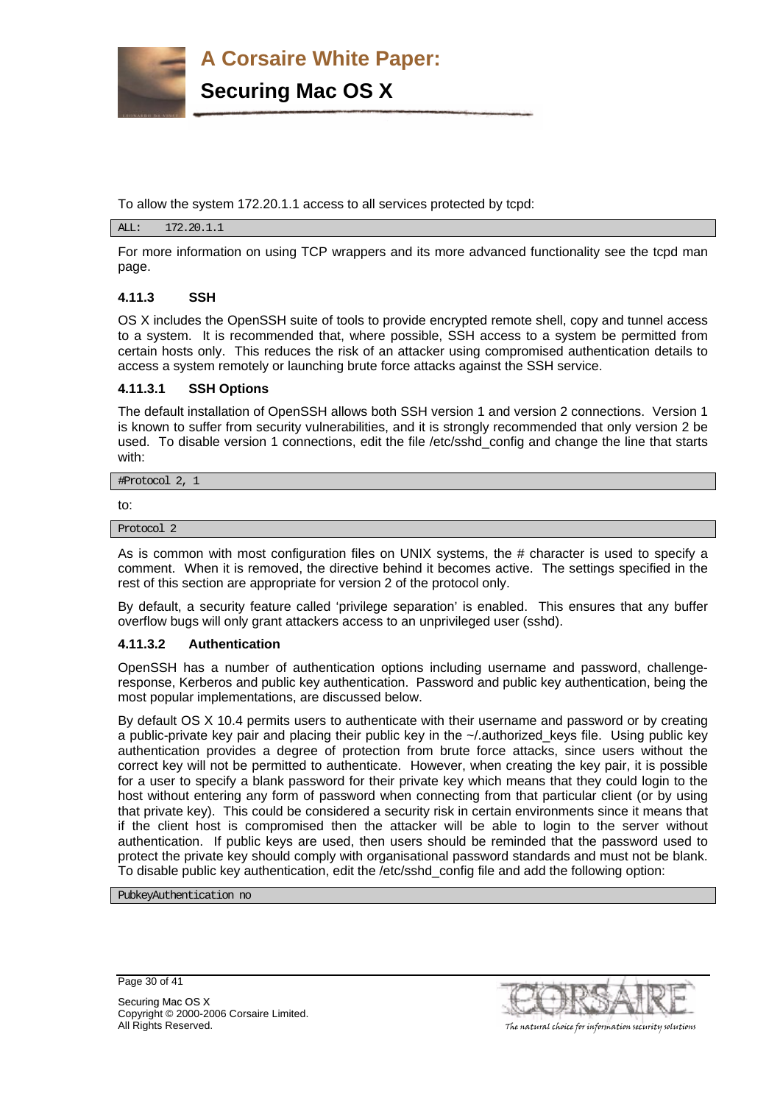

To allow the system 172.20.1.1 access to all services protected by tcpd:

#### ALL: 172.20.1.1

For more information on using TCP wrappers and its more advanced functionality see the tcpd man page.

# **4.11.3 SSH**

OS X includes the OpenSSH suite of tools to provide encrypted remote shell, copy and tunnel access to a system. It is recommended that, where possible, SSH access to a system be permitted from certain hosts only. This reduces the risk of an attacker using compromised authentication details to access a system remotely or launching brute force attacks against the SSH service.

#### **4.11.3.1 SSH Options**

The default installation of OpenSSH allows both SSH version 1 and version 2 connections. Version 1 is known to suffer from security vulnerabilities, and it is strongly recommended that only version 2 be used. To disable version 1 connections, edit the file /etc/sshd\_config and change the line that starts with:

#Protocol 2, 1

to:

Protocol 2

As is common with most configuration files on UNIX systems, the # character is used to specify a comment. When it is removed, the directive behind it becomes active. The settings specified in the rest of this section are appropriate for version 2 of the protocol only.

By default, a security feature called 'privilege separation' is enabled. This ensures that any buffer overflow bugs will only grant attackers access to an unprivileged user (sshd).

#### **4.11.3.2 Authentication**

OpenSSH has a number of authentication options including username and password, challengeresponse, Kerberos and public key authentication. Password and public key authentication, being the most popular implementations, are discussed below.

By default OS X 10.4 permits users to authenticate with their username and password or by creating a public-private key pair and placing their public key in the ~/.authorized\_keys file. Using public key authentication provides a degree of protection from brute force attacks, since users without the correct key will not be permitted to authenticate. However, when creating the key pair, it is possible for a user to specify a blank password for their private key which means that they could login to the host without entering any form of password when connecting from that particular client (or by using that private key). This could be considered a security risk in certain environments since it means that if the client host is compromised then the attacker will be able to login to the server without authentication. If public keys are used, then users should be reminded that the password used to protect the private key should comply with organisational password standards and must not be blank. To disable public key authentication, edit the /etc/sshd\_config file and add the following option:

PubkeyAuthentication no

Page 30 of 41

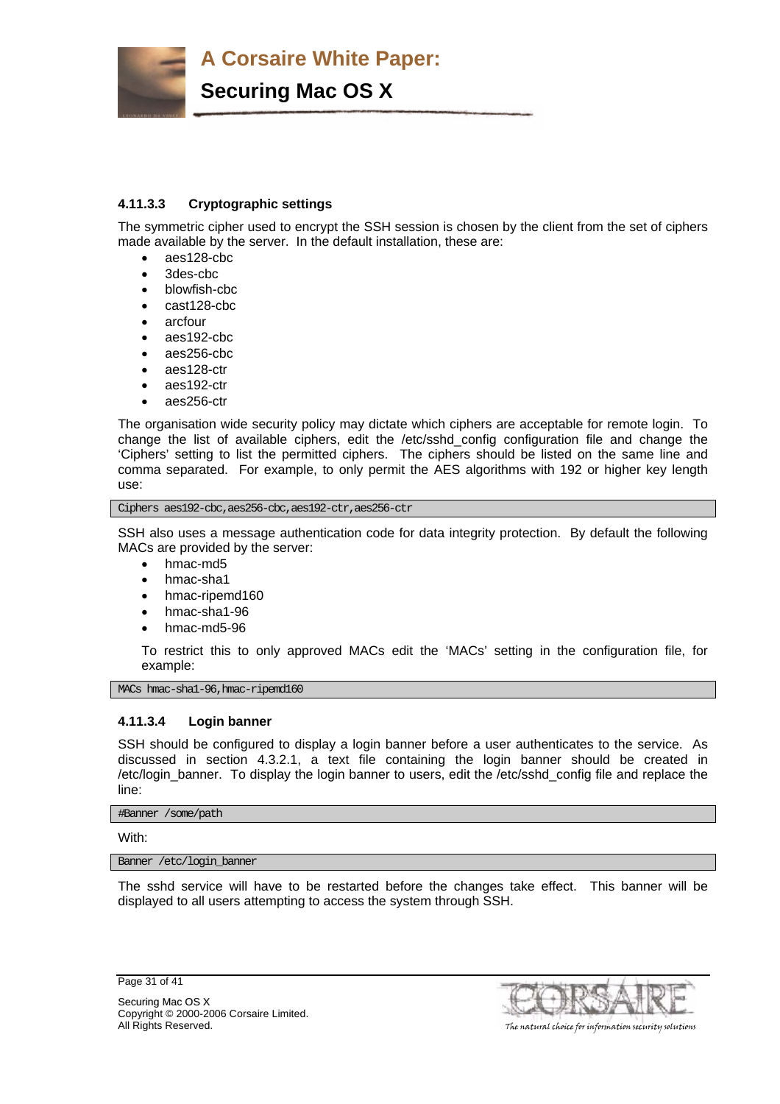

# **4.11.3.3 Cryptographic settings**

The symmetric cipher used to encrypt the SSH session is chosen by the client from the set of ciphers made available by the server. In the default installation, these are:

- aes128-cbc
- 3des-cbc
- blowfish-cbc
- cast128-cbc
- arcfour
- aes192-cbc
- aes256-cbc
- aes128-ctr
- aes192-ctr
- aes256-ctr

The organisation wide security policy may dictate which ciphers are acceptable for remote login. To change the list of available ciphers, edit the /etc/sshd\_config configuration file and change the 'Ciphers' setting to list the permitted ciphers. The ciphers should be listed on the same line and comma separated. For example, to only permit the AES algorithms with 192 or higher key length use:

Ciphers aes192-cbc,aes256-cbc,aes192-ctr,aes256-ctr

SSH also uses a message authentication code for data integrity protection. By default the following MACs are provided by the server:

- hmac-md5
- hmac-sha1
- hmac-ripemd160
- hmac-sha1-96
- hmac-md5-96

To restrict this to only approved MACs edit the 'MACs' setting in the configuration file, for example:

MACs hmac-shal-96, hmac-ripemd160

# **4.11.3.4 Login banner**

SSH should be configured to display a login banner before a user authenticates to the service. As discussed in section 4.3.2.1, a text file containing the login banner should be created in /etc/login\_banner. To display the login banner to users, edit the /etc/sshd\_config file and replace the line:

#Banner /some/path

With:

Banner /etc/login\_banner

The sshd service will have to be restarted before the changes take effect. This banner will be displayed to all users attempting to access the system through SSH.

Page 31 of 41



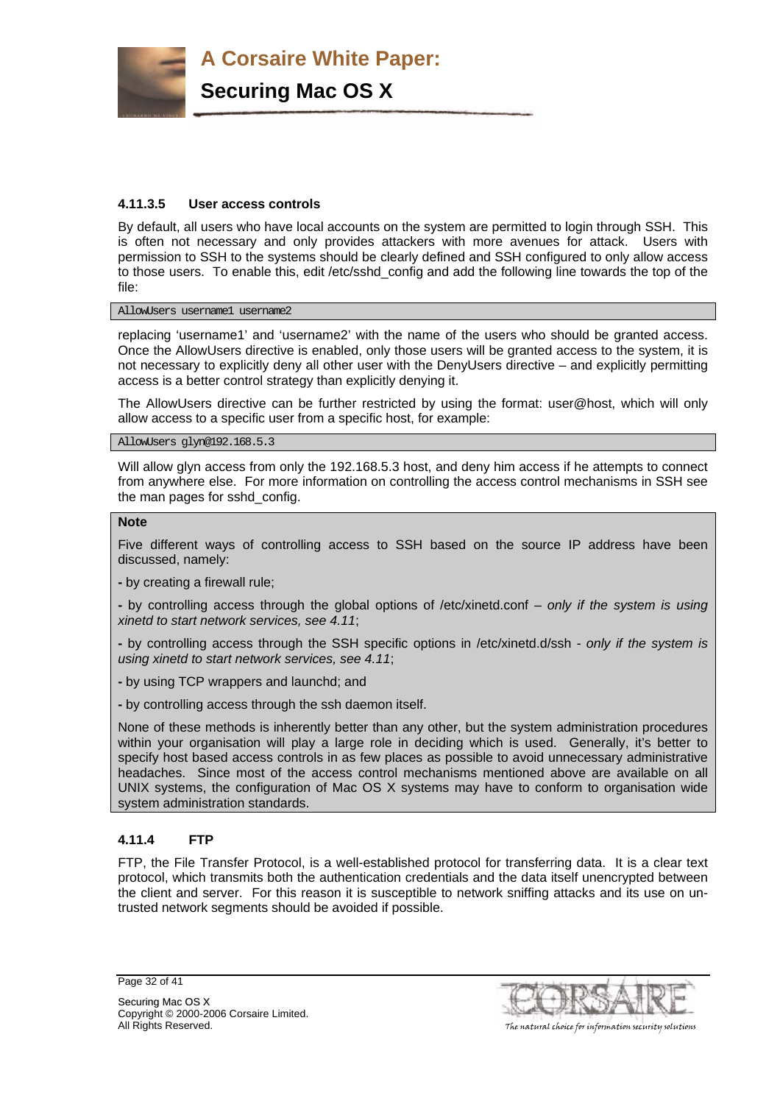

# **4.11.3.5 User access controls**

By default, all users who have local accounts on the system are permitted to login through SSH. This is often not necessary and only provides attackers with more avenues for attack. Users with permission to SSH to the systems should be clearly defined and SSH configured to only allow access to those users. To enable this, edit /etc/sshd\_config and add the following line towards the top of the file:

AllowUsers username1 username2

replacing 'username1' and 'username2' with the name of the users who should be granted access. Once the AllowUsers directive is enabled, only those users will be granted access to the system, it is not necessary to explicitly deny all other user with the DenyUsers directive – and explicitly permitting access is a better control strategy than explicitly denying it.

The AllowUsers directive can be further restricted by using the format: user@host, which will only allow access to a specific user from a specific host, for example:

AllowUsers glyn@192.168.5.3

Will allow glyn access from only the 192.168.5.3 host, and deny him access if he attempts to connect from anywhere else. For more information on controlling the access control mechanisms in SSH see the man pages for sshd\_config.

#### **Note**

Five different ways of controlling access to SSH based on the source IP address have been discussed, namely:

**-** by creating a firewall rule;

**-** by controlling access through the global options of /etc/xinetd.conf – *only if the system is using xinetd to start network services, see 4.11*;

**-** by controlling access through the SSH specific options in /etc/xinetd.d/ssh - *only if the system is using xinetd to start network services, see 4.11*;

**-** by using TCP wrappers and launchd; and

**-** by controlling access through the ssh daemon itself.

None of these methods is inherently better than any other, but the system administration procedures within your organisation will play a large role in deciding which is used. Generally, it's better to specify host based access controls in as few places as possible to avoid unnecessary administrative headaches. Since most of the access control mechanisms mentioned above are available on all UNIX systems, the configuration of Mac OS X systems may have to conform to organisation wide system administration standards.

# **4.11.4 FTP**

FTP, the File Transfer Protocol, is a well-established protocol for transferring data. It is a clear text protocol, which transmits both the authentication credentials and the data itself unencrypted between the client and server. For this reason it is susceptible to network sniffing attacks and its use on untrusted network segments should be avoided if possible.

Page 32 of 41



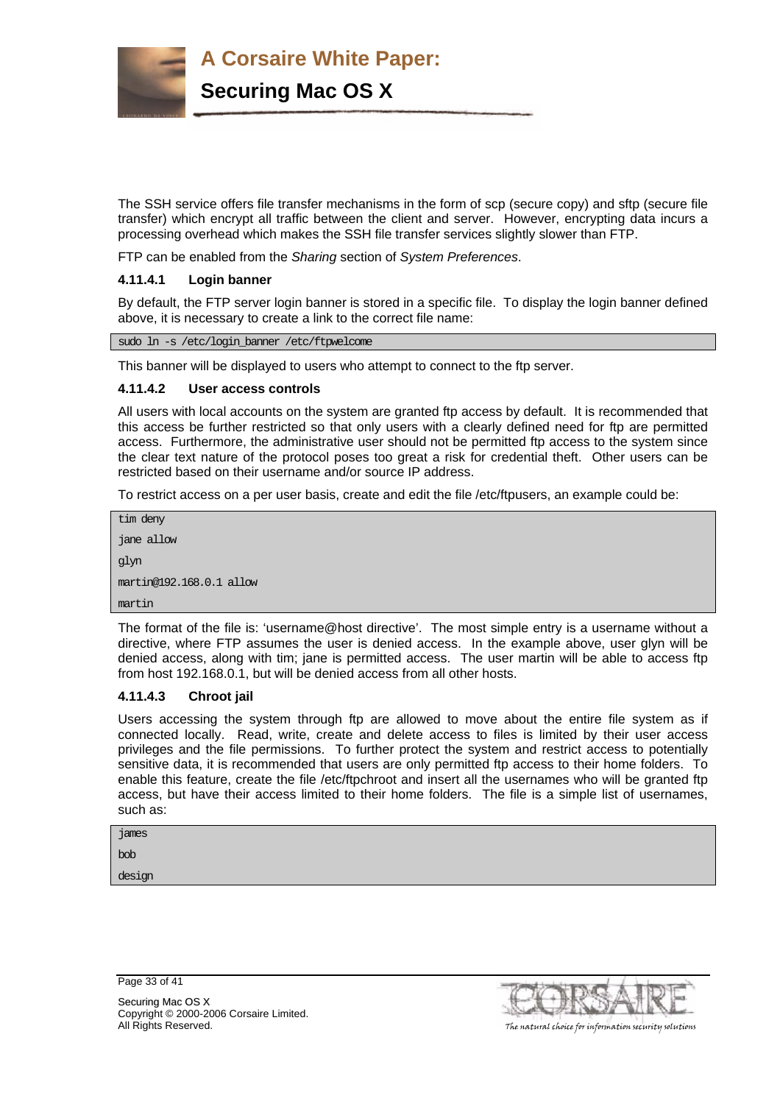

The SSH service offers file transfer mechanisms in the form of scp (secure copy) and sftp (secure file transfer) which encrypt all traffic between the client and server. However, encrypting data incurs a processing overhead which makes the SSH file transfer services slightly slower than FTP.

FTP can be enabled from the *Sharing* section of *System Preferences*.

# **4.11.4.1 Login banner**

By default, the FTP server login banner is stored in a specific file. To display the login banner defined above, it is necessary to create a link to the correct file name:

sudo ln -s /etc/login\_banner /etc/ftpwelcome

This banner will be displayed to users who attempt to connect to the ftp server.

#### **4.11.4.2 User access controls**

All users with local accounts on the system are granted ftp access by default. It is recommended that this access be further restricted so that only users with a clearly defined need for ftp are permitted access. Furthermore, the administrative user should not be permitted ftp access to the system since the clear text nature of the protocol poses too great a risk for credential theft. Other users can be restricted based on their username and/or source IP address.

To restrict access on a per user basis, create and edit the file /etc/ftpusers, an example could be:

```
tim deny 
jane allow 
glyn 
martin@192.168.0.1 allow 
martin
```
The format of the file is: 'username@host directive'. The most simple entry is a username without a directive, where FTP assumes the user is denied access. In the example above, user glyn will be denied access, along with tim; jane is permitted access. The user martin will be able to access ftp from host 192.168.0.1, but will be denied access from all other hosts.

# **4.11.4.3 Chroot jail**

Users accessing the system through ftp are allowed to move about the entire file system as if connected locally. Read, write, create and delete access to files is limited by their user access privileges and the file permissions. To further protect the system and restrict access to potentially sensitive data, it is recommended that users are only permitted ftp access to their home folders. To enable this feature, create the file /etc/ftpchroot and insert all the usernames who will be granted ftp access, but have their access limited to their home folders. The file is a simple list of usernames, such as:

| james  |  |  |
|--------|--|--|
| bob    |  |  |
| design |  |  |
|        |  |  |

Page 33 of 41



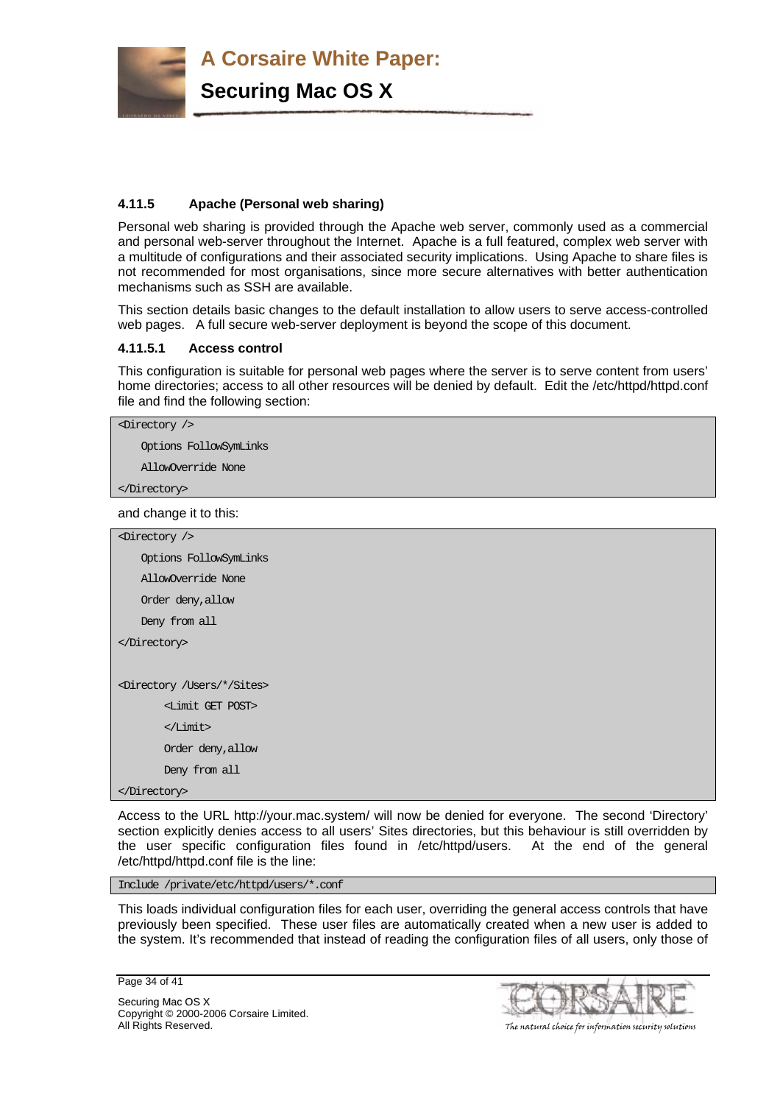

# **4.11.5 Apache (Personal web sharing)**

Personal web sharing is provided through the Apache web server, commonly used as a commercial and personal web-server throughout the Internet. Apache is a full featured, complex web server with a multitude of configurations and their associated security implications. Using Apache to share files is not recommended for most organisations, since more secure alternatives with better authentication mechanisms such as SSH are available.

This section details basic changes to the default installation to allow users to serve access-controlled web pages. A full secure web-server deployment is beyond the scope of this document.

#### **4.11.5.1 Access control**

This configuration is suitable for personal web pages where the server is to serve content from users' home directories; access to all other resources will be denied by default. Edit the /etc/httpd/httpd.conf file and find the following section:

<Directory />

Options FollowSymLinks

AllowOverride None

</Directory>

and change it to this:

| $\langle$ Directory $\rangle$                  |
|------------------------------------------------|
| Options FollowSymLinks                         |
| AllowOverride None                             |
| Order deny, allow                              |
| Deny from all                                  |
|                                                |
|                                                |
| <directory *="" sites="" users=""></directory> |
| <limit get="" post=""></limit>                 |
| $<$ $<$ Limit $>$                              |
| Order deny, allow                              |
| Deny from all                                  |
|                                                |

Access to the URL http://your.mac.system/ will now be denied for everyone. The second 'Directory' section explicitly denies access to all users' Sites directories, but this behaviour is still overridden by the user specific configuration files found in /etc/httpd/users. At the end of the general /etc/httpd/httpd.conf file is the line:

Include /private/etc/httpd/users/\*.conf

This loads individual configuration files for each user, overriding the general access controls that have previously been specified. These user files are automatically created when a new user is added to the system. It's recommended that instead of reading the configuration files of all users, only those of

Page 34 of 41

Securing Mac OS X Copyright © 2000-2006 Corsaire Limited. All Rights Reserved. The natural choice for information security solutions

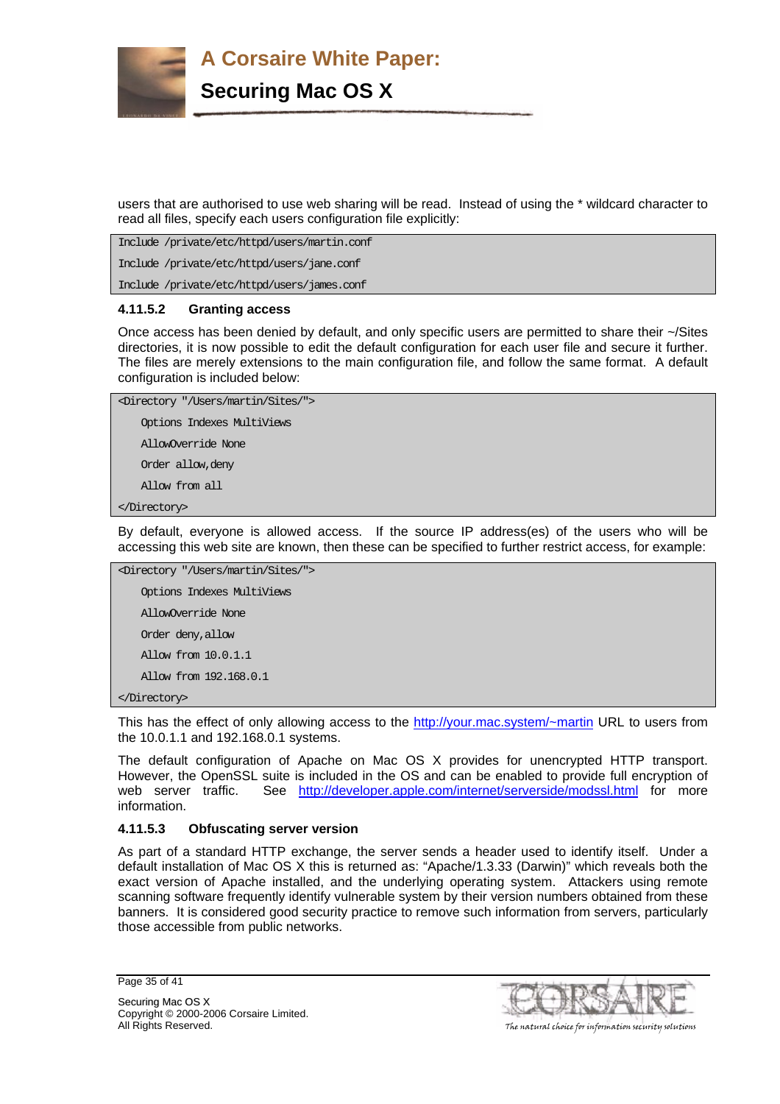

users that are authorised to use web sharing will be read. Instead of using the \* wildcard character to read all files, specify each users configuration file explicitly:

Include /private/etc/httpd/users/martin.conf Include /private/etc/httpd/users/jane.conf Include /private/etc/httpd/users/james.conf

#### **4.11.5.2 Granting access**

Once access has been denied by default, and only specific users are permitted to share their ~/Sites directories, it is now possible to edit the default configuration for each user file and secure it further. The files are merely extensions to the main configuration file, and follow the same format. A default configuration is included below:

```
<Directory "/Users/martin/Sites/"> 
     Options Indexes MultiViews 
     AllowOverride None 
     Order allow,deny 
     Allow from all 
</Directory>
```
By default, everyone is allowed access. If the source IP address(es) of the users who will be accessing this web site are known, then these can be specified to further restrict access, for example:

```
<Directory "/Users/martin/Sites/"> 
     Options Indexes MultiViews 
     AllowOverride None 
     Order deny,allow 
     Allow from 10.0.1.1 
     Allow from 192.168.0.1 
</Directory>
```
This has the effect of only allowing access to the http://your.mac.system/~martin URL to users from the 10.0.1.1 and 192.168.0.1 systems.

The default configuration of Apache on Mac OS X provides for unencrypted HTTP transport. However, the OpenSSL suite is included in the OS and can be enabled to provide full encryption of web server traffic. See http://developer.apple.com/internet/serverside/modssl.html for more information.

#### **4.11.5.3 Obfuscating server version**

As part of a standard HTTP exchange, the server sends a header used to identify itself. Under a default installation of Mac OS X this is returned as: "Apache/1.3.33 (Darwin)" which reveals both the exact version of Apache installed, and the underlying operating system. Attackers using remote scanning software frequently identify vulnerable system by their version numbers obtained from these banners. It is considered good security practice to remove such information from servers, particularly those accessible from public networks.

```
Page 35 of 41
```
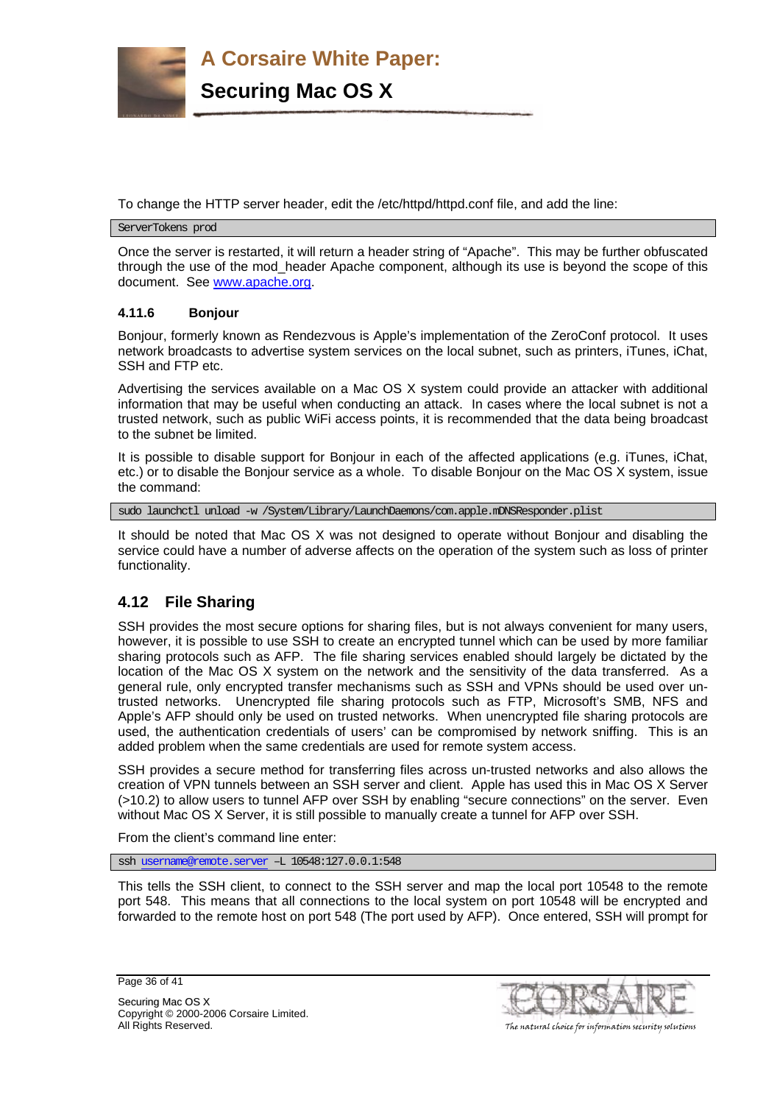

To change the HTTP server header, edit the /etc/httpd/httpd.conf file, and add the line:

ServerTokens prod

Once the server is restarted, it will return a header string of "Apache". This may be further obfuscated through the use of the mod\_header Apache component, although its use is beyond the scope of this document. See www.apache.org.

# **4.11.6 Bonjour**

Bonjour, formerly known as Rendezvous is Apple's implementation of the ZeroConf protocol. It uses network broadcasts to advertise system services on the local subnet, such as printers, iTunes, iChat, SSH and FTP etc.

Advertising the services available on a Mac OS X system could provide an attacker with additional information that may be useful when conducting an attack. In cases where the local subnet is not a trusted network, such as public WiFi access points, it is recommended that the data being broadcast to the subnet be limited.

It is possible to disable support for Bonjour in each of the affected applications (e.g. iTunes, iChat, etc.) or to disable the Bonjour service as a whole. To disable Bonjour on the Mac OS X system, issue the command:

sudo launchctl unload -w /System/Library/LaunchDaemons/com.apple.mDNSResponder.plist

It should be noted that Mac OS X was not designed to operate without Bonjour and disabling the service could have a number of adverse affects on the operation of the system such as loss of printer functionality.

# **4.12 File Sharing**

SSH provides the most secure options for sharing files, but is not always convenient for many users, however, it is possible to use SSH to create an encrypted tunnel which can be used by more familiar sharing protocols such as AFP. The file sharing services enabled should largely be dictated by the location of the Mac OS X system on the network and the sensitivity of the data transferred. As a general rule, only encrypted transfer mechanisms such as SSH and VPNs should be used over untrusted networks. Unencrypted file sharing protocols such as FTP, Microsoft's SMB, NFS and Apple's AFP should only be used on trusted networks. When unencrypted file sharing protocols are used, the authentication credentials of users' can be compromised by network sniffing. This is an added problem when the same credentials are used for remote system access.

SSH provides a secure method for transferring files across un-trusted networks and also allows the creation of VPN tunnels between an SSH server and client. Apple has used this in Mac OS X Server (>10.2) to allow users to tunnel AFP over SSH by enabling "secure connections" on the server. Even without Mac OS X Server, it is still possible to manually create a tunnel for AFP over SSH.

From the client's command line enter:

ssh username@remote.server –L 10548:127.0.0.1:548

This tells the SSH client, to connect to the SSH server and map the local port 10548 to the remote port 548. This means that all connections to the local system on port 10548 will be encrypted and forwarded to the remote host on port 548 (The port used by AFP). Once entered, SSH will prompt for

Page 36 of 41



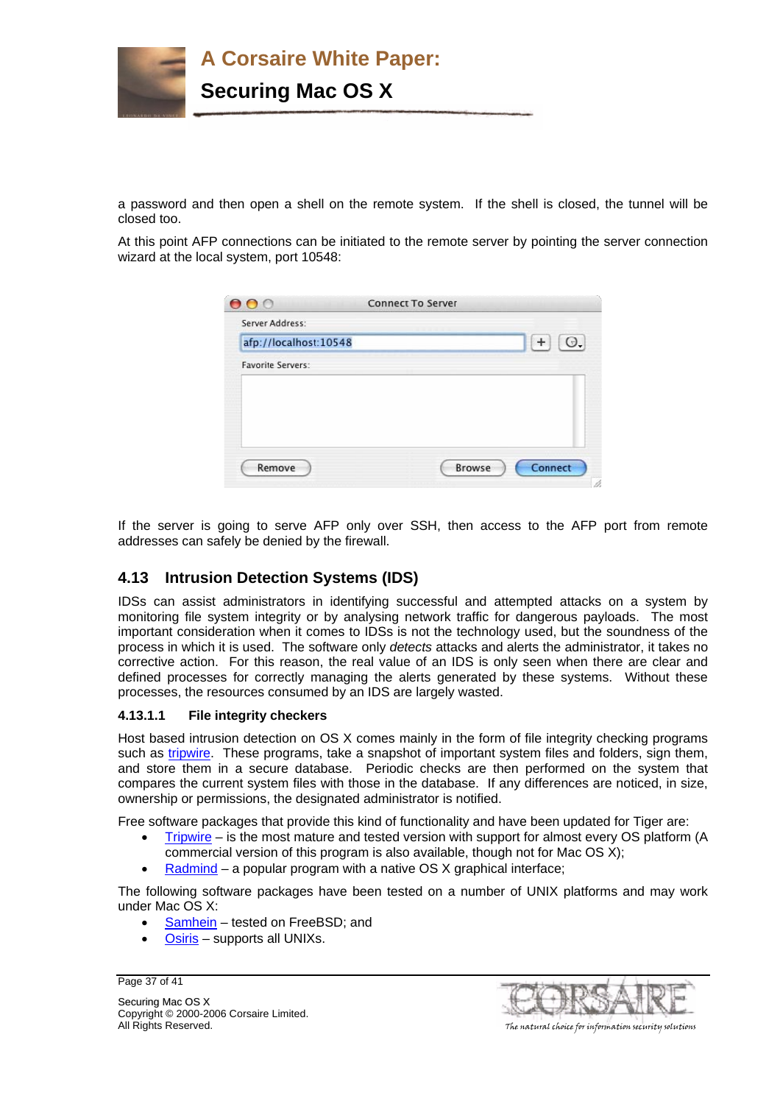

a password and then open a shell on the remote system. If the shell is closed, the tunnel will be closed too.

At this point AFP connections can be initiated to the remote server by pointing the server connection wizard at the local system, port 10548:

| 000                      | <b>Connect To Server</b> |         |
|--------------------------|--------------------------|---------|
| Server Address:          |                          |         |
| afp://localhost:10548    |                          | Э.      |
| <b>Favorite Servers:</b> |                          |         |
|                          |                          |         |
|                          |                          |         |
|                          |                          |         |
|                          |                          |         |
| Remove                   | Browse                   | Connect |
|                          |                          |         |

If the server is going to serve AFP only over SSH, then access to the AFP port from remote addresses can safely be denied by the firewall.

# **4.13 Intrusion Detection Systems (IDS)**

IDSs can assist administrators in identifying successful and attempted attacks on a system by monitoring file system integrity or by analysing network traffic for dangerous payloads. The most important consideration when it comes to IDSs is not the technology used, but the soundness of the process in which it is used. The software only *detects* attacks and alerts the administrator, it takes no corrective action. For this reason, the real value of an IDS is only seen when there are clear and defined processes for correctly managing the alerts generated by these systems. Without these processes, the resources consumed by an IDS are largely wasted.

# **4.13.1.1 File integrity checkers**

Host based intrusion detection on OS X comes mainly in the form of file integrity checking programs such as tripwire. These programs, take a snapshot of important system files and folders, sign them, and store them in a secure database. Periodic checks are then performed on the system that compares the current system files with those in the database. If any differences are noticed, in size, ownership or permissions, the designated administrator is notified.

Free software packages that provide this kind of functionality and have been updated for Tiger are:

- Tripwire is the most mature and tested version with support for almost every OS platform (A
- commercial version of this program is also available, though not for Mac OS X); Radmind – a popular program with a native OS X graphical interface;

The following software packages have been tested on a number of UNIX platforms and may work under Mac OS X:

- Samhein tested on FreeBSD; and
- Osiris supports all UNIXs.

Page 37 of 41

Securing Mac OS X Copyright © 2000-2006 Corsaire Limited. All Rights Reserved. The natural choice for information security solutions

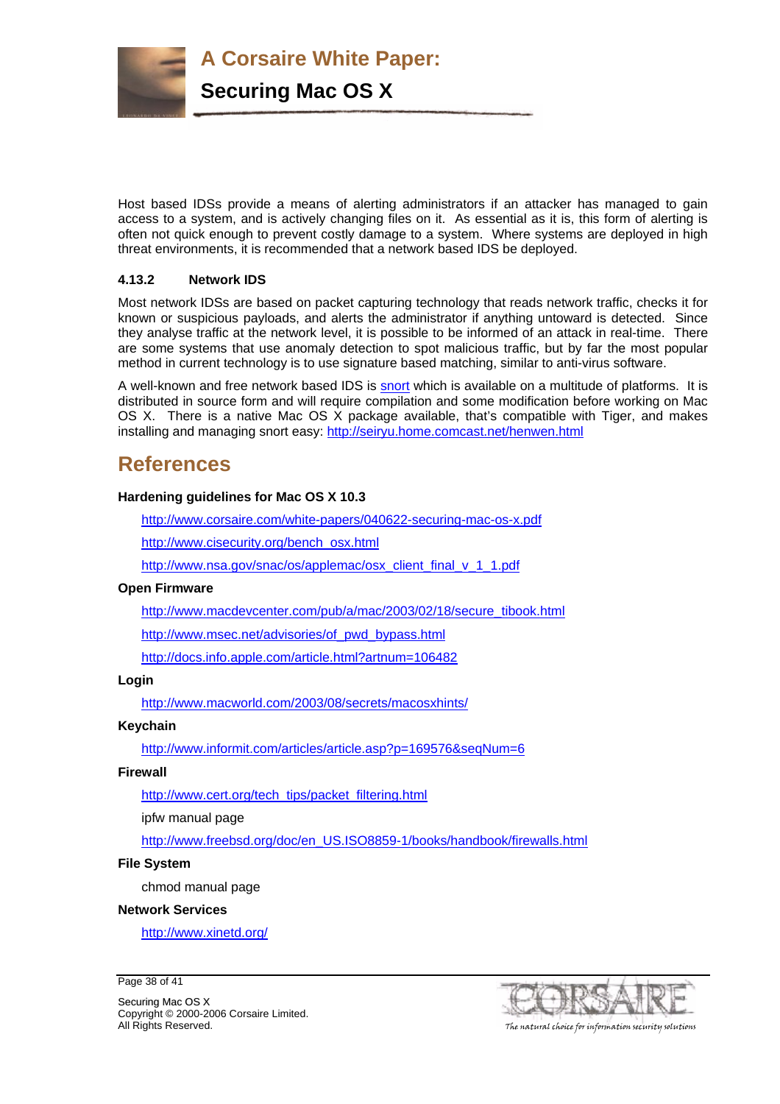

Host based IDSs provide a means of alerting administrators if an attacker has managed to gain access to a system, and is actively changing files on it. As essential as it is, this form of alerting is often not quick enough to prevent costly damage to a system. Where systems are deployed in high threat environments, it is recommended that a network based IDS be deployed.

# **4.13.2 Network IDS**

Most network IDSs are based on packet capturing technology that reads network traffic, checks it for known or suspicious payloads, and alerts the administrator if anything untoward is detected. Since they analyse traffic at the network level, it is possible to be informed of an attack in real-time. There are some systems that use anomaly detection to spot malicious traffic, but by far the most popular method in current technology is to use signature based matching, similar to anti-virus software.

A well-known and free network based IDS is snort which is available on a multitude of platforms. It is distributed in source form and will require compilation and some modification before working on Mac OS X. There is a native Mac OS X package available, that's compatible with Tiger, and makes installing and managing snort easy: http://seiryu.home.comcast.net/henwen.html

# **References**

# **Hardening guidelines for Mac OS X 10.3**

http://www.corsaire.com/white-papers/040622-securing-mac-os-x.pdf

http://www.cisecurity.org/bench\_osx.html

http://www.nsa.gov/snac/os/applemac/osx\_client\_final\_v\_1\_1.pdf

# **Open Firmware**

http://www.macdevcenter.com/pub/a/mac/2003/02/18/secure\_tibook.html

http://www.msec.net/advisories/of\_pwd\_bypass.html

http://docs.info.apple.com/article.html?artnum=106482

# **Login**

http://www.macworld.com/2003/08/secrets/macosxhints/

# **Keychain**

http://www.informit.com/articles/article.asp?p=169576&seqNum=6

#### **Firewall**

http://www.cert.org/tech\_tips/packet\_filtering.html

ipfw manual page

http://www.freebsd.org/doc/en\_US.ISO8859-1/books/handbook/firewalls.html

#### **File System**

chmod manual page

#### **Network Services**

http://www.xinetd.org/

Page 38 of 41

Securing Mac OS X Copyright © 2000-2006 Corsaire Limited. All Rights Reserved. The natural choice for information security solutions

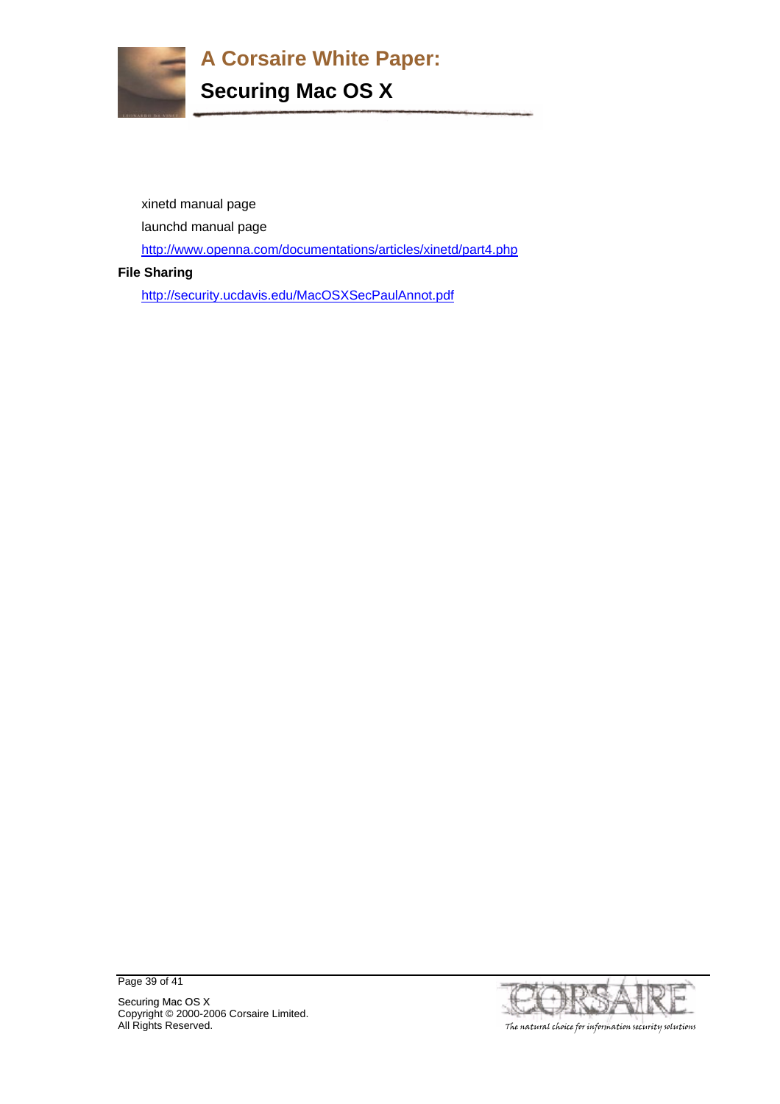

xinetd manual page

launchd manual page

http://www.openna.com/documentations/articles/xinetd/part4.php

# **File Sharing**

http://security.ucdavis.edu/MacOSXSecPaulAnnot.pdf

Page 39 of 41



Securing Mac OS X Copyright © 2000-2006 Corsaire Limited. All Rights Reserved. The natural choice for information security solutions and the natural choice for information security solutions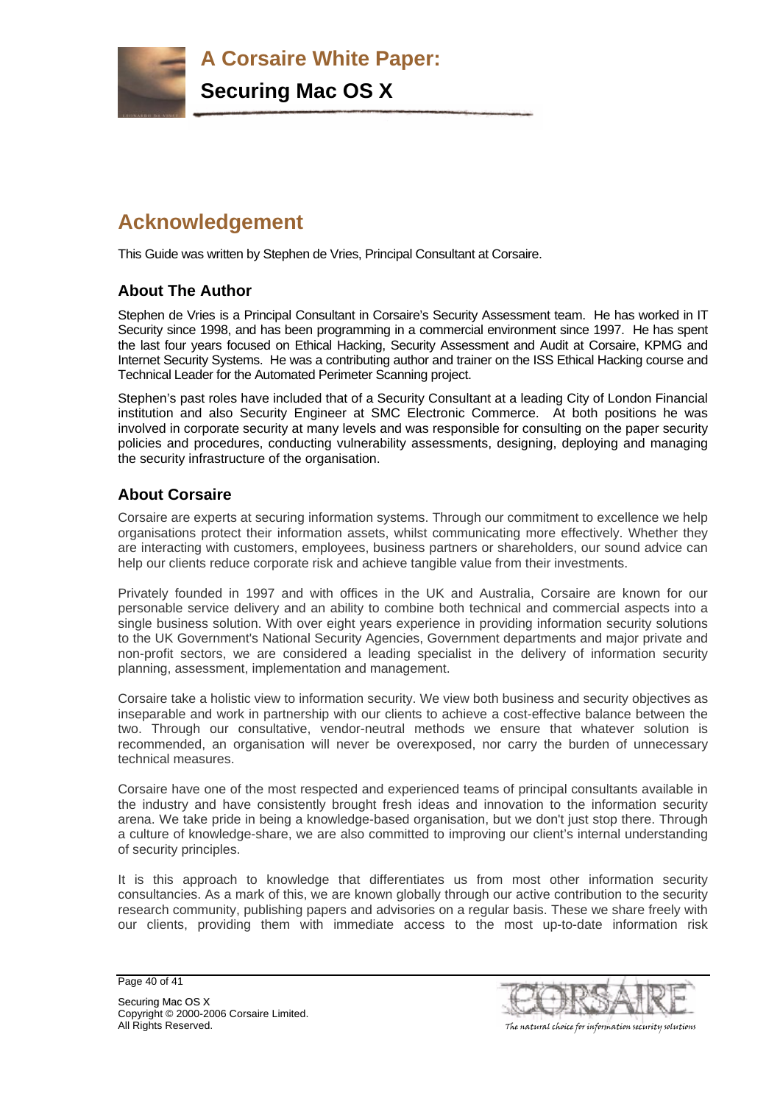

# **Acknowledgement**

This Guide was written by Stephen de Vries, Principal Consultant at Corsaire.

# **About The Author**

Stephen de Vries is a Principal Consultant in Corsaire's Security Assessment team. He has worked in IT Security since 1998, and has been programming in a commercial environment since 1997. He has spent the last four years focused on Ethical Hacking, Security Assessment and Audit at Corsaire, KPMG and Internet Security Systems. He was a contributing author and trainer on the ISS Ethical Hacking course and Technical Leader for the Automated Perimeter Scanning project.

Stephen's past roles have included that of a Security Consultant at a leading City of London Financial institution and also Security Engineer at SMC Electronic Commerce. At both positions he was involved in corporate security at many levels and was responsible for consulting on the paper security policies and procedures, conducting vulnerability assessments, designing, deploying and managing the security infrastructure of the organisation.

# **About Corsaire**

Corsaire are experts at securing information systems. Through our commitment to excellence we help organisations protect their information assets, whilst communicating more effectively. Whether they are interacting with customers, employees, business partners or shareholders, our sound advice can help our clients reduce corporate risk and achieve tangible value from their investments.

Privately founded in 1997 and with offices in the UK and Australia, Corsaire are known for our personable service delivery and an ability to combine both technical and commercial aspects into a single business solution. With over eight years experience in providing information security solutions to the UK Government's National Security Agencies, Government departments and major private and non-profit sectors, we are considered a leading specialist in the delivery of information security planning, assessment, implementation and management.

Corsaire take a holistic view to information security. We view both business and security objectives as inseparable and work in partnership with our clients to achieve a cost-effective balance between the two. Through our consultative, vendor-neutral methods we ensure that whatever solution is recommended, an organisation will never be overexposed, nor carry the burden of unnecessary technical measures.

Corsaire have one of the most respected and experienced teams of principal consultants available in the industry and have consistently brought fresh ideas and innovation to the information security arena. We take pride in being a knowledge-based organisation, but we don't just stop there. Through a culture of knowledge-share, we are also committed to improving our client's internal understanding of security principles.

It is this approach to knowledge that differentiates us from most other information security consultancies. As a mark of this, we are known globally through our active contribution to the security research community, publishing papers and advisories on a regular basis. These we share freely with our clients, providing them with immediate access to the most up-to-date information risk

Page 40 of 41



Securing Mac OS X Copyright © 2000-2006 Corsaire Limited. All Rights Reserved. The natural choice for information security solutions